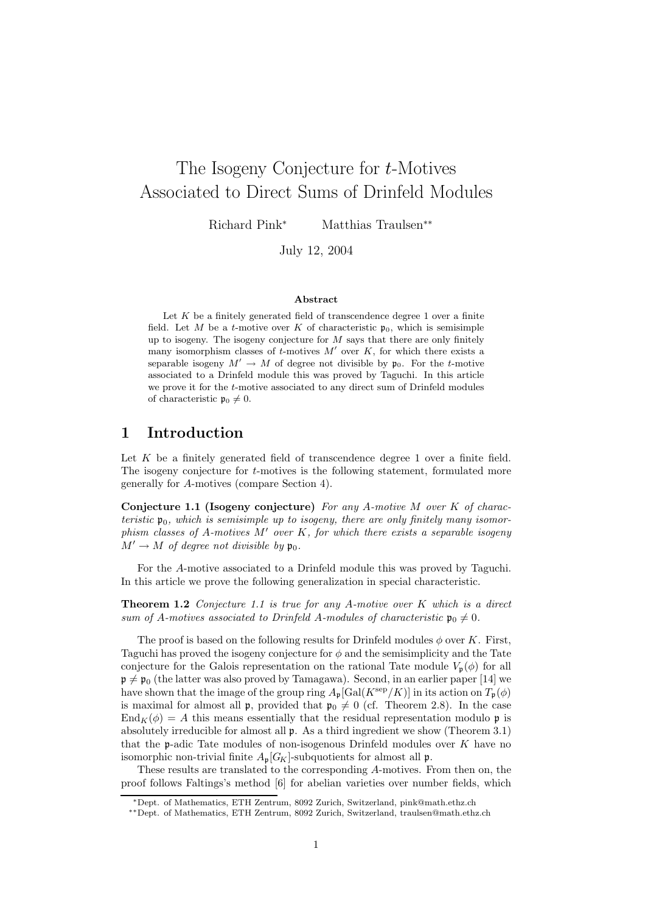# The Isogeny Conjecture for t-Motives Associated to Direct Sums of Drinfeld Modules

Richard Pink<sup>∗</sup> Matthias Traulsen∗∗

July 12, 2004

#### Abstract

Let  $K$  be a finitely generated field of transcendence degree 1 over a finite field. Let M be a t-motive over K of characteristic  $\mathfrak{p}_0$ , which is semisimple up to isogeny. The isogeny conjecture for  $M$  says that there are only finitely many isomorphism classes of  $t$ -motives  $M'$  over  $K$ , for which there exists a separable isogeny  $M' \to M$  of degree not divisible by  $\mathfrak{p}_0$ . For the t-motive associated to a Drinfeld module this was proved by Taguchi. In this article we prove it for the t-motive associated to any direct sum of Drinfeld modules of characteristic  $\mathfrak{p}_0 \neq 0$ .

#### 1 Introduction

Let K be a finitely generated field of transcendence degree 1 over a finite field. The isogeny conjecture for t-motives is the following statement, formulated more generally for A-motives (compare Section 4).

Conjecture 1.1 (Isogeny conjecture) For any A-motive  $M$  over  $K$  of characteristic  $\mathfrak{p}_0$ , which is semisimple up to isogeny, there are only finitely many isomorphism classes of A-motives  $M'$  over  $K$ , for which there exists a separable isogeny  $M' \to M$  of degree not divisible by  $\mathfrak{p}_0$ .

For the A-motive associated to a Drinfeld module this was proved by Taguchi. In this article we prove the following generalization in special characteristic.

**Theorem 1.2** Conjecture 1.1 is true for any A-motive over  $K$  which is a direct sum of A-motives associated to Drinfeld A-modules of characteristic  $\mathfrak{p}_0 \neq 0$ .

The proof is based on the following results for Drinfeld modules  $\phi$  over K. First, Taguchi has proved the isogeny conjecture for  $\phi$  and the semisimplicity and the Tate conjecture for the Galois representation on the rational Tate module  $V_{p}(\phi)$  for all  $\mathfrak{p} \neq \mathfrak{p}_0$  (the latter was also proved by Tamagawa). Second, in an earlier paper [14] we have shown that the image of the group ring  $A_{\mathfrak{p}}[\text{Gal}(K^{\text{sep}}/K)]$  in its action on  $T_{\mathfrak{p}}(\phi)$ is maximal for almost all **p**, provided that  $\mathfrak{p}_0 \neq 0$  (cf. Theorem 2.8). In the case  $\text{End}_K(\phi) = A$  this means essentially that the residual representation modulo p is absolutely irreducible for almost all p. As a third ingredient we show (Theorem 3.1) that the  $p$ -adic Tate modules of non-isogenous Drinfeld modules over  $K$  have no isomorphic non-trivial finite  $A_n[G_K]$ -subquotients for almost all p.

These results are translated to the corresponding A-motives. From then on, the proof follows Faltings's method [6] for abelian varieties over number fields, which

<sup>∗</sup>Dept. of Mathematics, ETH Zentrum, 8092 Zurich, Switzerland, pink@math.ethz.ch

<sup>∗∗</sup>Dept. of Mathematics, ETH Zentrum, 8092 Zurich, Switzerland, traulsen@math.ethz.ch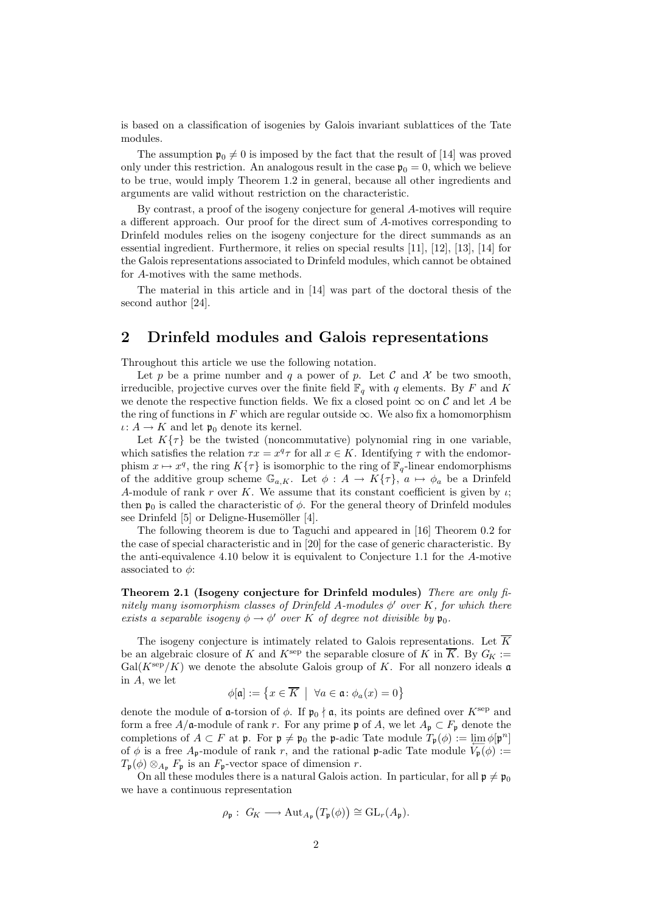is based on a classification of isogenies by Galois invariant sublattices of the Tate modules.

The assumption  $\mathfrak{p}_0 \neq 0$  is imposed by the fact that the result of [14] was proved only under this restriction. An analogous result in the case  $\mathfrak{p}_0 = 0$ , which we believe to be true, would imply Theorem 1.2 in general, because all other ingredients and arguments are valid without restriction on the characteristic.

By contrast, a proof of the isogeny conjecture for general A-motives will require a different approach. Our proof for the direct sum of A-motives corresponding to Drinfeld modules relies on the isogeny conjecture for the direct summands as an essential ingredient. Furthermore, it relies on special results [11], [12], [13], [14] for the Galois representations associated to Drinfeld modules, which cannot be obtained for A-motives with the same methods.

The material in this article and in [14] was part of the doctoral thesis of the second author [24].

#### 2 Drinfeld modules and Galois representations

Throughout this article we use the following notation.

Let p be a prime number and q a power of p. Let C and X be two smooth, irreducible, projective curves over the finite field  $\mathbb{F}_q$  with q elements. By F and K we denote the respective function fields. We fix a closed point  $\infty$  on C and let A be the ring of functions in F which are regular outside  $\infty$ . We also fix a homomorphism  $\iota: A \to K$  and let  $\mathfrak{p}_0$  denote its kernel.

Let  $K\{\tau\}$  be the twisted (noncommutative) polynomial ring in one variable, which satisfies the relation  $\tau x = x^q \tau$  for all  $x \in K$ . Identifying  $\tau$  with the endomorphism  $x \mapsto x^q$ , the ring  $K\{\tau\}$  is isomorphic to the ring of  $\mathbb{F}_q$ -linear endomorphisms of the additive group scheme  $\mathbb{G}_{a,K}$ . Let  $\phi: A \to K\{\tau\}, a \mapsto \phi_a$  be a Drinfeld A-module of rank r over K. We assume that its constant coefficient is given by  $\iota$ ; then  $\mathfrak{p}_0$  is called the characteristic of  $\phi$ . For the general theory of Drinfeld modules see Drinfeld  $[5]$  or Deligne-Husemöller  $[4]$ .

The following theorem is due to Taguchi and appeared in [16] Theorem 0.2 for the case of special characteristic and in [20] for the case of generic characteristic. By the anti-equivalence 4.10 below it is equivalent to Conjecture 1.1 for the A-motive associated to  $\phi$ :

Theorem 2.1 (Isogeny conjecture for Drinfeld modules) There are only finitely many isomorphism classes of Drinfeld A-modules  $\phi'$  over K, for which there exists a separable isogeny  $\phi \to \phi'$  over K of degree not divisible by  $\mathfrak{p}_0$ .

The isogeny conjecture is intimately related to Galois representations. Let  $\overline{K}$ be an algebraic closure of K and  $K^{\text{sep}}$  the separable closure of K in  $\overline{K}$ . By  $G_K :=$  $Gal(K^{\text{sep}}/K)$  we denote the absolute Galois group of K. For all nonzero ideals a in A, we let

$$
\phi[\mathfrak{a}]:=\left\{x\in\overline{K} \ \big|\ \forall a\in\mathfrak{a}\colon \phi_a(x)=0\right\}
$$

denote the module of **a**-torsion of  $\phi$ . If  $\mathfrak{p}_0 \nmid \mathfrak{a}$ , its points are defined over  $K^{\text{sep}}$  and form a free  $A/\mathfrak{a}$ -module of rank r. For any prime p of A, we let  $A_{\mathfrak{p}} \subset F_{\mathfrak{p}}$  denote the completions of  $A \subset F$  at p. For  $\mathfrak{p} \neq \mathfrak{p}_0$  the p-adic Tate module  $T_{\mathfrak{p}}(\phi) := \varprojlim \phi[\mathfrak{p}^n]$ of  $\phi$  is a free  $A_p$ -module of rank r, and the rational p-adic Tate module  $V_p(\phi) :=$  $T_{\mathfrak{p}}(\phi) \otimes_{A_{\mathfrak{p}}} F_{\mathfrak{p}}$  is an  $F_{\mathfrak{p}}$ -vector space of dimension r.

On all these modules there is a natural Galois action. In particular, for all  $\mathfrak{p} \neq \mathfrak{p}_0$ we have a continuous representation

$$
\rho_{\mathfrak{p}}: G_K \longrightarrow \mathrm{Aut}_{A_{\mathfrak{p}}}\big(T_{\mathfrak{p}}(\phi)\big) \cong \mathrm{GL}_r(A_{\mathfrak{p}}).
$$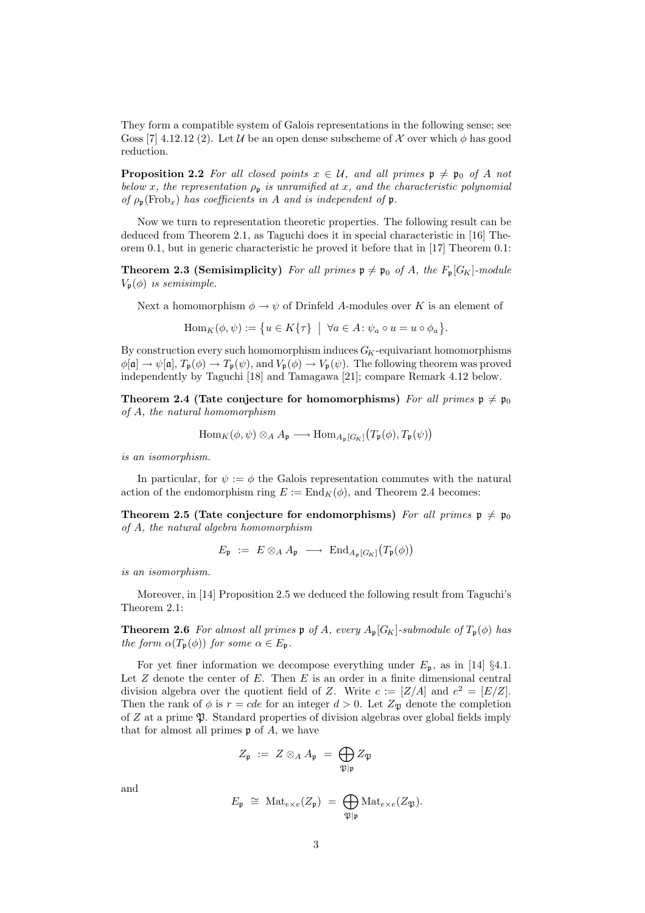They form a compatible system of Galois representations in the following sense; see Goss [7] 4.12.12 (2). Let U be an open dense subscheme of X over which  $\phi$  has good reduction.

**Proposition 2.2** For all closed points  $x \in \mathcal{U}$ , and all primes  $\mathfrak{p} \neq \mathfrak{p}_0$  of A not below x, the representation  $\rho_p$  is unramified at x, and the characteristic polynomial of  $\rho_{\rm p}$ (Frob<sub>x</sub>) has coefficients in A and is independent of p.

Now we turn to representation theoretic properties. The following result can be deduced from Theorem 2.1, as Taguchi does it in special characteristic in [16] Theorem 0.1, but in generic characteristic he proved it before that in [17] Theorem 0.1:

**Theorem 2.3 (Semisimplicity)** For all primes  $\mathfrak{p} \neq \mathfrak{p}_0$  of A, the  $F_p[G_K]$ -module  $V_{\mathfrak{p}}(\phi)$  is semisimple.

Next a homomorphism  $\phi \to \psi$  of Drinfeld A-modules over K is an element of

$$
\mathrm{Hom}_K(\phi,\psi):=\big\{u\in K\{\tau\}\ \ \big|\ \ \forall a\in A\colon \psi_a\circ u=u\circ \phi_a\big\}.
$$

By construction every such homomorphism induces  $G_K$ -equivariant homomorphisms  $\phi[\mathfrak{a}] \to \psi[\mathfrak{a}], T_{\mathfrak{p}}(\phi) \to T_{\mathfrak{p}}(\psi)$ , and  $V_{\mathfrak{p}}(\phi) \to V_{\mathfrak{p}}(\psi)$ . The following theorem was proved independently by Taguchi [18] and Tamagawa [21]; compare Remark 4.12 below.

Theorem 2.4 (Tate conjecture for homomorphisms) For all primes  $p \neq p_0$ of A, the natural homomorphism

$$
\operatorname{Hom}_{K}(\phi, \psi) \otimes_{A} A_{\mathfrak{p}} \longrightarrow \operatorname{Hom}_{A_{\mathfrak{p}}[G_{K}]}(T_{\mathfrak{p}}(\phi), T_{\mathfrak{p}}(\psi))
$$

is an isomorphism.

In particular, for  $\psi := \phi$  the Galois representation commutes with the natural action of the endomorphism ring  $E := \text{End}_K(\phi)$ , and Theorem 2.4 becomes:

Theorem 2.5 (Tate conjecture for endomorphisms) For all primes  $p \neq p_0$ of A, the natural algebra homomorphism

$$
E_{\mathfrak{p}} \ := \ E \otimes_A A_{\mathfrak{p}} \ \longrightarrow \ \text{End}_{A_{\mathfrak{p}}[G_K]}(T_{\mathfrak{p}}(\phi))
$$

is an isomorphism.

Moreover, in [14] Proposition 2.5 we deduced the following result from Taguchi's Theorem 2.1:

**Theorem 2.6** For almost all primes  $\mathfrak{p}$  of A, every  $A_{\mathfrak{p}}[G_K]$ -submodule of  $T_{\mathfrak{p}}(\phi)$  has the form  $\alpha(T_p(\phi))$  for some  $\alpha \in E_p$ .

For yet finer information we decompose everything under  $E_{\mathfrak{p}}$ , as in [14] §4.1. Let  $Z$  denote the center of  $E$ . Then  $E$  is an order in a finite dimensional central division algebra over the quotient field of Z. Write  $c := [Z/A]$  and  $e^2 = [E/Z]$ . Then the rank of  $\phi$  is  $r = cde$  for an integer  $d > 0$ . Let  $Z_{\mathfrak{P}}$  denote the completion of  $Z$  at a prime  $\mathfrak{P}$ . Standard properties of division algebras over global fields imply that for almost all primes  $\mathfrak p$  of A, we have

$$
Z_{\mathfrak{p}} \; := \; Z \otimes_A A_{\mathfrak{p}} \; = \; \bigoplus_{\mathfrak{P} \mid \mathfrak{p}} Z_{\mathfrak{P}}
$$

and

$$
E_{\mathfrak{p}} \cong \mathrm{Mat}_{e \times e}(Z_{\mathfrak{p}}) = \bigoplus_{\mathfrak{P} \mid \mathfrak{p}} \mathrm{Mat}_{e \times e}(Z_{\mathfrak{P}}).
$$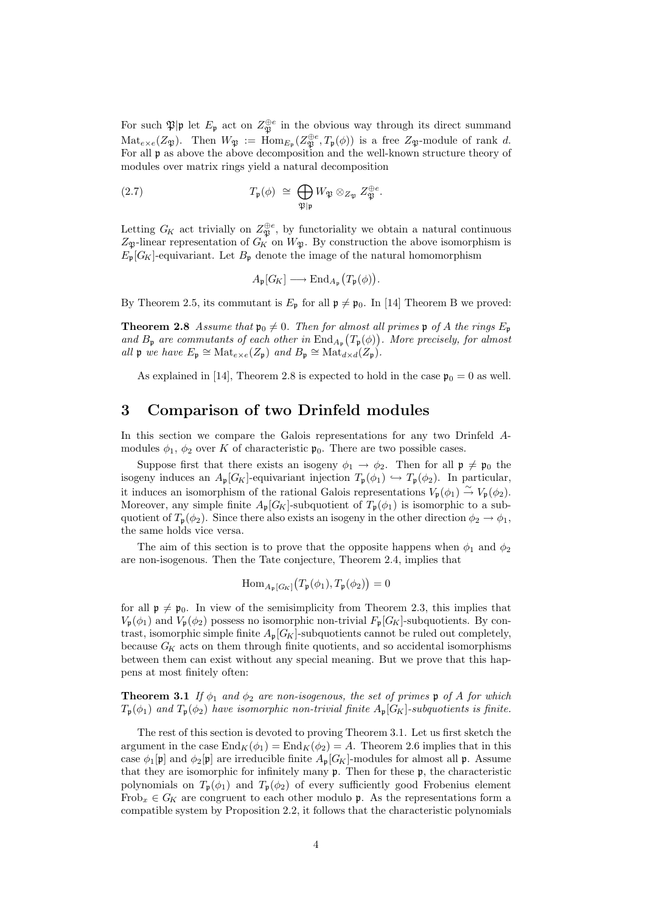For such  $\mathfrak{P}|\mathfrak{p}$  let  $E_{\mathfrak{p}}$  act on  $Z_{\mathfrak{P}}^{\oplus e}$  in the obvious way through its direct summand  $\mathrm{Mat}_{e\times e}(Z_{\mathfrak{P}})$ . Then  $W_{\mathfrak{P}} := \mathrm{Hom}_{E_{\mathfrak{p}}}(Z_{\mathfrak{P}}^{\oplus e}, T_{\mathfrak{p}}(\phi))$  is a free  $Z_{\mathfrak{P}}$ -module of rank d. For all p as above the above decomposition and the well-known structure theory of modules over matrix rings yield a natural decomposition

(2.7) 
$$
T_{\mathfrak{p}}(\phi) \cong \bigoplus_{\mathfrak{P}|\mathfrak{p}} W_{\mathfrak{P}} \otimes_{Z_{\mathfrak{P}}} Z_{\mathfrak{P}}^{\oplus e}.
$$

Letting  $G_K$  act trivially on  $Z_{\mathfrak{P}}^{\oplus e}$ , by functoriality we obtain a natural continuous  $Z_{\mathfrak{P}}$ -linear representation of  $G_K$  on  $W_{\mathfrak{P}}$ . By construction the above isomorphism is  $E_{\mathfrak{p}}[G_K]$ -equivariant. Let  $B_{\mathfrak{p}}$  denote the image of the natural homomorphism

$$
A_{\mathfrak{p}}[G_K] \longrightarrow \mathrm{End}_{A_{\mathfrak{p}}}\big(T_{\mathfrak{p}}(\phi)\big).
$$

By Theorem 2.5, its commutant is  $E_{\mathfrak{p}}$  for all  $\mathfrak{p} \neq \mathfrak{p}_0$ . In [14] Theorem B we proved:

**Theorem 2.8** Assume that  $\mathfrak{p}_0 \neq 0$ . Then for almost all primes  $\mathfrak{p}$  of A the rings  $E_{\mathfrak{p}}$ and  $B_{\mathfrak{p}}$  are commutants of each other in  $\text{End}_{A_{\mathfrak{p}}}(T_{\mathfrak{p}}(\phi))$ . More precisely, for almost all  $\mathfrak{p}$  we have  $E_{\mathfrak{p}} \cong \text{Mat}_{e \times e}(Z_{\mathfrak{p}})$  and  $B_{\mathfrak{p}} \cong \text{Mat}_{d \times d}(Z_{\mathfrak{p}})$ .

As explained in [14], Theorem 2.8 is expected to hold in the case  $\mathfrak{p}_0 = 0$  as well.

#### 3 Comparison of two Drinfeld modules

In this section we compare the Galois representations for any two Drinfeld Amodules  $\phi_1$ ,  $\phi_2$  over K of characteristic  $\mathfrak{p}_0$ . There are two possible cases.

Suppose first that there exists an isogeny  $\phi_1 \rightarrow \phi_2$ . Then for all  $\mathfrak{p} \neq \mathfrak{p}_0$  the isogeny induces an  $A_{\mathfrak{p}}[G_K]$ -equivariant injection  $T_{\mathfrak{p}}(\phi_1) \hookrightarrow T_{\mathfrak{p}}(\phi_2)$ . In particular, it induces an isomorphism of the rational Galois representations  $V_{\mathfrak{p}}(\phi_1) \stackrel{\sim}{\rightarrow} V_{\mathfrak{p}}(\phi_2)$ . Moreover, any simple finite  $A_{\mathfrak{p}}[G_K]$ -subquotient of  $T_{\mathfrak{p}}(\phi_1)$  is isomorphic to a subquotient of  $T_p(\phi_2)$ . Since there also exists an isogeny in the other direction  $\phi_2 \to \phi_1$ , the same holds vice versa.

The aim of this section is to prove that the opposite happens when  $\phi_1$  and  $\phi_2$ are non-isogenous. Then the Tate conjecture, Theorem 2.4, implies that

$$
\operatorname{Hom}_{A_{\mathfrak{p}}[G_{K}]}(T_{\mathfrak{p}}(\phi_{1}), T_{\mathfrak{p}}(\phi_{2})) = 0
$$

for all  $\mathfrak{p} \neq \mathfrak{p}_0$ . In view of the semisimplicity from Theorem 2.3, this implies that  $V_{\mathfrak{p}}(\phi_1)$  and  $V_{\mathfrak{p}}(\phi_2)$  possess no isomorphic non-trivial  $F_{\mathfrak{p}}[G_K]$ -subquotients. By contrast, isomorphic simple finite  $A_p[G_K]$ -subquotients cannot be ruled out completely, because  $G_K$  acts on them through finite quotients, and so accidental isomorphisms between them can exist without any special meaning. But we prove that this happens at most finitely often:

**Theorem 3.1** If  $\phi_1$  and  $\phi_2$  are non-isogenous, the set of primes p of A for which  $T_{\mathbf{p}}(\phi_1)$  and  $T_{\mathbf{p}}(\phi_2)$  have isomorphic non-trivial finite  $A_{\mathbf{p}}[G_K]$ -subquotients is finite.

The rest of this section is devoted to proving Theorem 3.1. Let us first sketch the argument in the case  $\text{End}_K(\phi_1) = \text{End}_K(\phi_2) = A$ . Theorem 2.6 implies that in this case  $\phi_1[\mathfrak{p}]$  and  $\phi_2[\mathfrak{p}]$  are irreducible finite  $A_{\mathfrak{p}}[G_K]$ -modules for almost all  $\mathfrak{p}$ . Assume that they are isomorphic for infinitely many  $\mathfrak{p}$ . Then for these  $\mathfrak{p}$ , the characteristic polynomials on  $T_{\mathfrak{p}}(\phi_1)$  and  $T_{\mathfrak{p}}(\phi_2)$  of every sufficiently good Frobenius element Frob<sub>x</sub>  $\in G_K$  are congruent to each other modulo **p**. As the representations form a compatible system by Proposition 2.2, it follows that the characteristic polynomials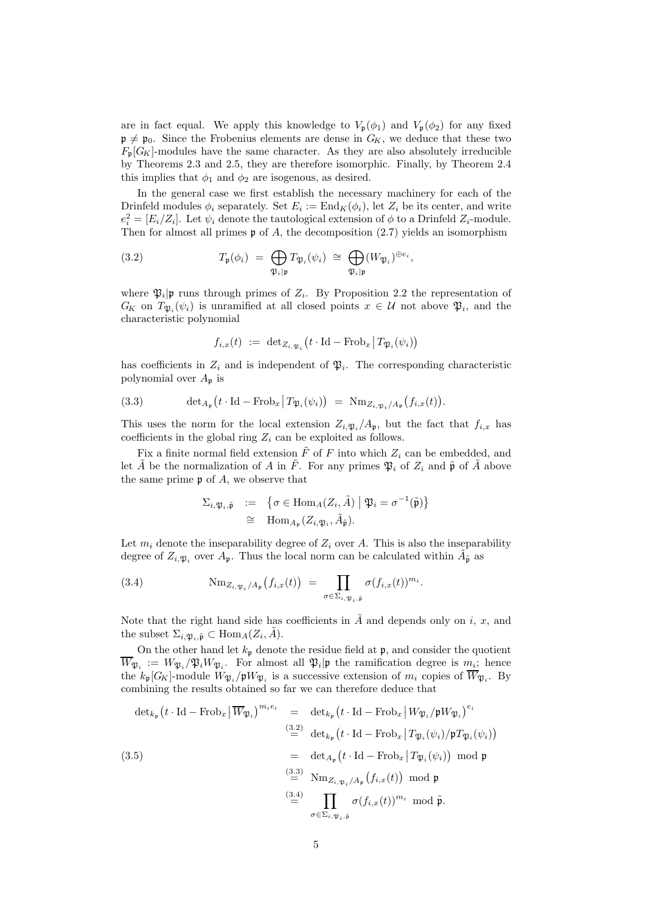are in fact equal. We apply this knowledge to  $V_{\mathfrak{p}}(\phi_1)$  and  $V_{\mathfrak{p}}(\phi_2)$  for any fixed  $\mathfrak{p} \neq \mathfrak{p}_0$ . Since the Frobenius elements are dense in  $G_K$ , we deduce that these two  $F_{\mathfrak{p}}[G_K]$ -modules have the same character. As they are also absolutely irreducible by Theorems 2.3 and 2.5, they are therefore isomorphic. Finally, by Theorem 2.4 this implies that  $\phi_1$  and  $\phi_2$  are isogenous, as desired.

In the general case we first establish the necessary machinery for each of the Drinfeld modules  $\phi_i$  separately. Set  $E_i := \text{End}_K(\phi_i)$ , let  $Z_i$  be its center, and write  $e_i^2 = [E_i/Z_i]$ . Let  $\psi_i$  denote the tautological extension of  $\phi$  to a Drinfeld  $Z_i$ -module. Then for almost all primes  $\mathfrak p$  of A, the decomposition (2.7) yields an isomorphism

(3.2) 
$$
T_{\mathfrak{p}}(\phi_i) = \bigoplus_{\mathfrak{P}_i | \mathfrak{p}} T_{\mathfrak{P}_i}(\psi_i) \cong \bigoplus_{\mathfrak{P}_i | \mathfrak{p}} (W_{\mathfrak{P}_i})^{\oplus e_i},
$$

where  $\mathfrak{P}_i|\mathfrak{p}$  runs through primes of  $Z_i$ . By Proposition 2.2 the representation of  $G_K$  on  $T_{\mathfrak{P}_i}(\psi_i)$  is unramified at all closed points  $x \in \mathcal{U}$  not above  $\mathfrak{P}_i$ , and the characteristic polynomial

$$
f_{i,x}(t) \ := \ \mathrm{det}_{Z_{i,\mathfrak{P}_i}}\big(t \cdot \mathrm{Id} - \mathrm{Frob}_x \, \big| \, T_{\mathfrak{P}_i}(\psi_i) \big)
$$

has coefficients in  $Z_i$  and is independent of  $\mathfrak{P}_i$ . The corresponding characteristic polynomial over  $A_{\mathfrak{p}}$  is

(3.3) 
$$
\det_{A_{\mathfrak{p}}}\left(t \cdot \operatorname{Id} - \operatorname{Frob}_x \middle| T_{\mathfrak{P}_i}(\psi_i)\right) = \mathrm{Nm}_{Z_i, \mathfrak{P}_i/A_{\mathfrak{p}}}\left(f_{i,x}(t)\right).
$$

This uses the norm for the local extension  $Z_{i,\mathfrak{P}_i}/A_{\mathfrak{p}}$ , but the fact that  $f_{i,x}$  has coefficients in the global ring  $Z_i$  can be exploited as follows.

Fix a finite normal field extension  $F$  of  $F$  into which  $Z_i$  can be embedded, and let  $\tilde{A}$  be the normalization of A in  $\tilde{F}$ . For any primes  $\mathfrak{P}_i$  of  $Z_i$  and  $\tilde{\mathfrak{p}}$  of  $\tilde{A}$  above the same prime  $\mathfrak p$  of A, we observe that

$$
\Sigma_{i,\mathfrak{P}_i,\tilde{\mathfrak{p}}} := \{ \sigma \in \text{Hom}_A(Z_i, \tilde{A}) \mid \mathfrak{P}_i = \sigma^{-1}(\tilde{\mathfrak{p}}) \}
$$
  
\n
$$
\cong \text{Hom}_{A_{\mathfrak{p}}}(Z_i, \mathfrak{p}_i, \tilde{A}_{\tilde{\mathfrak{p}}}).
$$

Let  $m_i$  denote the inseparability degree of  $Z_i$  over A. This is also the inseparability degree of  $Z_{i,\mathfrak{P}_i}$  over  $A_{\mathfrak{p}}$ . Thus the local norm can be calculated within  $\tilde{A}_{\tilde{\mathfrak{p}}}$  as

(3.4) 
$$
\mathrm{Nm}_{Z_{i,\mathfrak{P}_i}/A_{\mathfrak{p}}}(f_{i,x}(t)) = \prod_{\sigma \in \Sigma_{i,\mathfrak{P}_i,\tilde{\mathfrak{p}}}} \sigma(f_{i,x}(t))^{m_i}.
$$

Note that the right hand side has coefficients in  $\tilde{A}$  and depends only on i, x, and the subset  $\Sigma_{i,\mathfrak{P}_i,\tilde{\mathfrak{p}}} \subset \text{Hom}_A(Z_i, \tilde{A}).$ 

On the other hand let  $k_{\mathfrak{p}}$  denote the residue field at  $\mathfrak{p}$ , and consider the quotient  $W_{\mathfrak{P}_i} := W_{\mathfrak{P}_i}/\mathfrak{P}_i W_{\mathfrak{P}_i}$ . For almost all  $\mathfrak{P}_i|\mathfrak{p}$  the ramification degree is  $m_i$ ; hence the  $k_{\mathfrak{p}}[G_K]$ -module  $W_{\mathfrak{P}_i}/\mathfrak{p}W_{\mathfrak{P}_i}$  is a successive extension of  $m_i$  copies of  $\overline{W}_{\mathfrak{P}_i}$ . By combining the results obtained so far we can therefore deduce that

$$
\det_{k_{\mathfrak{p}}}(t \cdot \mathrm{Id} - \mathrm{Frob}_{x} | \overline{W}_{\mathfrak{P}_{i}})^{m_{i}e_{i}} = \det_{k_{\mathfrak{p}}}(t \cdot \mathrm{Id} - \mathrm{Frob}_{x} | W_{\mathfrak{P}_{i}}/\mathfrak{p}W_{\mathfrak{P}_{i}})^{e_{i}}
$$
\n
$$
\stackrel{(3.2)}{=} \det_{k_{\mathfrak{p}}}(t \cdot \mathrm{Id} - \mathrm{Frob}_{x} | T_{\mathfrak{P}_{i}}(\psi_{i})/\mathfrak{p}T_{\mathfrak{P}_{i}}(\psi_{i}))
$$
\n
$$
= \det_{A_{\mathfrak{p}}}(t \cdot \mathrm{Id} - \mathrm{Frob}_{x} | T_{\mathfrak{P}_{i}}(\psi_{i}) ) \mod \mathfrak{p}
$$
\n
$$
\stackrel{(3.3)}{=} \mathrm{Nm}_{Z_{i,\mathfrak{P}_{i}}/A_{\mathfrak{p}}}(f_{i,x}(t)) \mod \mathfrak{p}
$$
\n
$$
\stackrel{(3.4)}{=} \prod_{\sigma \in \Sigma_{i,\mathfrak{P}_{i},\tilde{\mathfrak{p}}}} \sigma(f_{i,x}(t))^{m_{i}} \mod \tilde{\mathfrak{p}}.
$$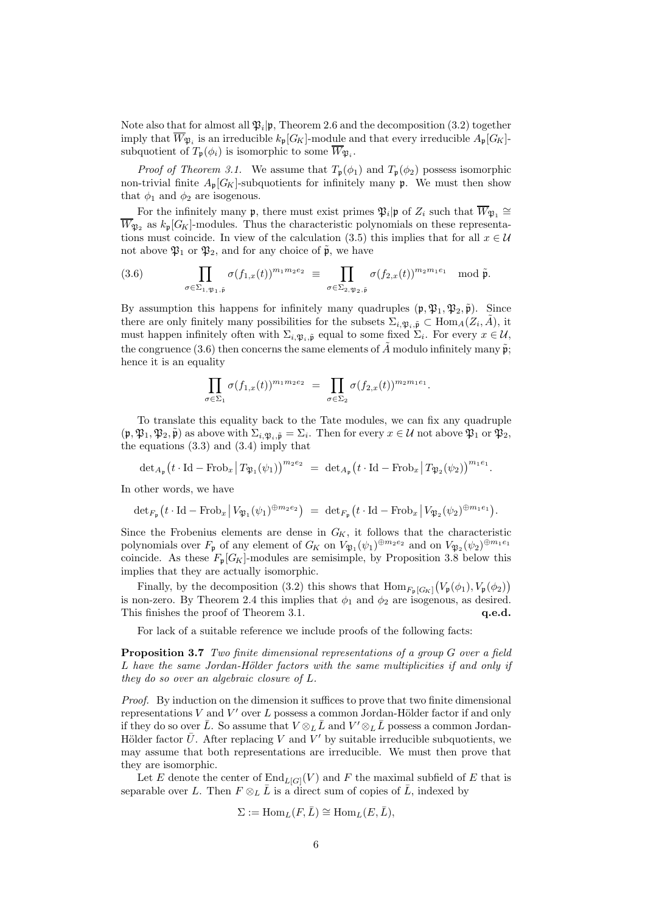Note also that for almost all  $\mathfrak{P}_i|\mathfrak{p}$ , Theorem 2.6 and the decomposition (3.2) together imply that  $W_{\mathfrak{P}_i}$  is an irreducible  $k_{\mathfrak{p}}[G_K]$ -module and that every irreducible  $A_{\mathfrak{p}}[G_K]$ subquotient of  $T_{\mathfrak{p}}(\phi_i)$  is isomorphic to some  $W_{\mathfrak{P}_i}$ .

*Proof of Theorem 3.1.* We assume that  $T_{\mathfrak{p}}(\phi_1)$  and  $T_{\mathfrak{p}}(\phi_2)$  possess isomorphic non-trivial finite  $A_{\mathfrak{p}}[G_K]$ -subquotients for infinitely many  $\mathfrak{p}$ . We must then show that  $\phi_1$  and  $\phi_2$  are isogenous.

For the infinitely many  $\mathfrak{p}$ , there must exist primes  $\mathfrak{P}_i|\mathfrak{p}$  of  $Z_i$  such that  $\overline{W}_{\mathfrak{P}_1} \cong$  $\overline{W}_{\mathfrak{B}_{2}}$  as  $k_{p}[G_{K}]$ -modules. Thus the characteristic polynomials on these representations must coincide. In view of the calculation (3.5) this implies that for all  $x \in \mathcal{U}$ not above  $\mathfrak{P}_1$  or  $\mathfrak{P}_2$ , and for any choice of  $\tilde{\mathfrak{p}}$ , we have

(3.6) 
$$
\prod_{\sigma \in \Sigma_{1,\mathfrak{P}_1,\tilde{\mathfrak{p}}}} \sigma(f_{1,x}(t))^{m_1 m_2 e_2} \equiv \prod_{\sigma \in \Sigma_{2,\mathfrak{P}_2,\tilde{\mathfrak{p}}}} \sigma(f_{2,x}(t))^{m_2 m_1 e_1} \mod \tilde{\mathfrak{p}}.
$$

By assumption this happens for infinitely many quadruples  $(\mathfrak{p}, \mathfrak{P}_1, \mathfrak{P}_2, \tilde{\mathfrak{p}})$ . Since there are only finitely many possibilities for the subsets  $\Sigma_{i,\mathfrak{P}_i,\tilde{\mathfrak{p}}}\subset \text{Hom}_A(Z_i,\tilde{A}),$  it must happen infinitely often with  $\Sigma_{i,\mathfrak{P}_i,\tilde{\mathfrak{p}}}$  equal to some fixed  $\Sigma_i$ . For every  $x \in \mathcal{U}$ , the congruence (3.6) then concerns the same elements of  $\ddot{A}$  modulo infinitely many  $\tilde{p}$ ; hence it is an equality

$$
\prod_{\sigma \in \Sigma_1} \sigma(f_{1,x}(t))^{m_1 m_2 e_2} = \prod_{\sigma \in \Sigma_2} \sigma(f_{2,x}(t))^{m_2 m_1 e_1}.
$$

To translate this equality back to the Tate modules, we can fix any quadruple  $(\mathfrak{p}, \mathfrak{P}_1, \mathfrak{P}_2, \tilde{\mathfrak{p}})$  as above with  $\Sigma_{i, \mathfrak{P}_i, \tilde{\mathfrak{p}}} = \Sigma_i$ . Then for every  $x \in \mathcal{U}$  not above  $\mathfrak{P}_1$  or  $\mathfrak{P}_2$ , the equations (3.3) and (3.4) imply that

$$
\mathrm{det}_{A_{\mathfrak{p}}}\left(t\cdot\mathrm{Id}-\mathrm{Frob}_{x}\left|T_{\mathfrak{P}_1}(\psi_1)\right)^{m_{2}e_{2}}\;=\;\mathrm{det}_{A_{\mathfrak{p}}}\left(t\cdot\mathrm{Id}-\mathrm{Frob}_{x}\left|T_{\mathfrak{P}_2}(\psi_2)\right)^{m_{1}e_{1}}.
$$

In other words, we have

$$
\mathrm{det}_{F_{\mathfrak{p}}}\left(t \cdot \mathrm{Id}-\mathrm{Frob}_{x} \,\middle|\, V_{\mathfrak{P}_1}(\psi_1)^{\oplus m_2e_2}\right) \;=\; \mathrm{det}_{F_{\mathfrak{p}}}\left(t \cdot \mathrm{Id}-\mathrm{Frob}_{x} \,\middle|\, V_{\mathfrak{P}_2}(\psi_2)^{\oplus m_1e_1}\right).
$$

Since the Frobenius elements are dense in  $G_K$ , it follows that the characteristic polynomials over  $F_{\mathfrak{p}}$  of any element of  $G_K$  on  $V_{\mathfrak{P}_1}(\psi_1)^{\oplus m_2e_2}$  and on  $V_{\mathfrak{P}_2}(\psi_2)^{\oplus m_1e_1}$ coincide. As these  $F_{\mathfrak{p}}[G_K]$ -modules are semisimple, by Proposition 3.8 below this implies that they are actually isomorphic.

Finally, by the decomposition (3.2) this shows that  $\text{Hom}_{F_{\mathfrak{p}}[G_K]}(V_{\mathfrak{p}}(\phi_1), V_{\mathfrak{p}}(\phi_2))$ is non-zero. By Theorem 2.4 this implies that  $\phi_1$  and  $\phi_2$  are isogenous, as desired. This finishes the proof of Theorem 3.1.  $q.e.d.$ 

For lack of a suitable reference we include proofs of the following facts:

Proposition 3.7 Two finite dimensional representations of a group G over a field L have the same Jordan-Hölder factors with the same multiplicities if and only if they do so over an algebraic closure of L.

Proof. By induction on the dimension it suffices to prove that two finite dimensional representations  $V$  and  $V'$  over  $L$  possess a common Jordan-Hölder factor if and only if they do so over  $\bar{L}$ . So assume that  $V \otimes_L \bar{L}$  and  $V' \otimes_L \bar{L}$  possess a common Jordan-Hölder factor  $\bar{U}$ . After replacing V and V' by suitable irreducible subquotients, we may assume that both representations are irreducible. We must then prove that they are isomorphic.

Let E denote the center of  $\text{End}_{L[G]}(V)$  and F the maximal subfield of E that is separable over L. Then  $F \otimes_L \bar{L}$  is a direct sum of copies of  $\bar{L}$ , indexed by

$$
\Sigma := \text{Hom}_L(F, \bar{L}) \cong \text{Hom}_L(E, \bar{L}),
$$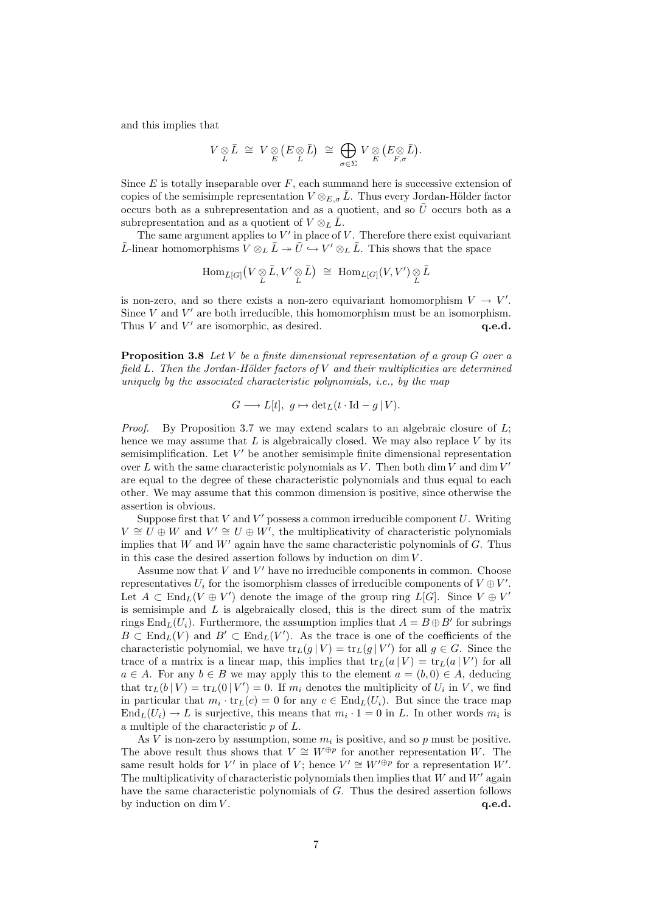and this implies that

$$
V\underset{L}{\otimes}\bar{L}\ \cong\ V\underset{E}{\otimes}\left(E\underset{L}{\otimes}\bar{L}\right)\ \cong\ \bigoplus_{\sigma\in\Sigma}\ V\underset{E}{\otimes}\left(E\underset{F,\sigma}{\otimes}\bar{L}\right).
$$

Since  $E$  is totally inseparable over  $F$ , each summand here is successive extension of copies of the semisimple representation  $V \otimes_{E,\sigma} \bar{L}$ . Thus every Jordan-Hölder factor occurs both as a subrepresentation and as a quotient, and so  $\bar{U}$  occurs both as a subrepresentation and as a quotient of  $V \otimes_L \bar{L}$ .

The same argument applies to  $V'$  in place of  $V$ . Therefore there exist equivariant  $\bar{L}$ -linear homomorphisms  $V \otimes_L \bar{L} \to \bar{U} \hookrightarrow V' \otimes_L \bar{L}$ . This shows that the space

$$
\operatorname{Hom}_{\bar{L}[G]}\big(V\underset{L}{\otimes}\bar{L},V'\underset{L}{\otimes}\bar{L}\big) \,\,\cong\,\, \operatorname{Hom}_{L[G]}(V,V')\underset{L}{\otimes}\bar{L}
$$

is non-zero, and so there exists a non-zero equivariant homomorphism  $V \to V'$ . Since  $V$  and  $V'$  are both irreducible, this homomorphism must be an isomorphism. Thus  $V$  and  $V'$  are isomorphic, as desired.  $q.e.d.$ 

**Proposition 3.8** Let V be a finite dimensional representation of a group  $G$  over a field  $L$ . Then the Jordan-Hölder factors of  $V$  and their multiplicities are determined uniquely by the associated characteristic polynomials, i.e., by the map

$$
G \longrightarrow L[t], g \mapsto \det_L(t \cdot \operatorname{Id} - g \mid V).
$$

*Proof.* By Proposition 3.7 we may extend scalars to an algebraic closure of  $L$ ; hence we may assume that  $L$  is algebraically closed. We may also replace  $V$  by its semisimplification. Let  $V'$  be another semisimple finite dimensional representation over L with the same characteristic polynomials as V. Then both dim V and dim  $V'$ are equal to the degree of these characteristic polynomials and thus equal to each other. We may assume that this common dimension is positive, since otherwise the assertion is obvious.

Suppose first that  $V$  and  $V'$  possess a common irreducible component  $U$ . Writing  $V \cong U \oplus W$  and  $V' \cong U \oplus W'$ , the multiplicativity of characteristic polynomials implies that W and W' again have the same characteristic polynomials of G. Thus in this case the desired assertion follows by induction on  $\dim V$ .

Assume now that  $V$  and  $V'$  have no irreducible components in common. Choose representatives  $U_i$  for the isomorphism classes of irreducible components of  $V \oplus V'$ . Let  $A \subset \text{End}_{L}(V \oplus V')$  denote the image of the group ring  $L[G]$ . Since  $V \oplus V'$ is semisimple and  $L$  is algebraically closed, this is the direct sum of the matrix rings  $\text{End}_L(U_i)$ . Furthermore, the assumption implies that  $A = B \oplus B'$  for subrings  $B \subset \text{End}_{L}(V)$  and  $B' \subset \text{End}_{L}(V')$ . As the trace is one of the coefficients of the characteristic polynomial, we have  $\text{tr}_L(g | V) = \text{tr}_L(g | V')$  for all  $g \in G$ . Since the trace of a matrix is a linear map, this implies that  $tr_L(a | V) = tr_L(a | V')$  for all  $a \in A$ . For any  $b \in B$  we may apply this to the element  $a = (b, 0) \in A$ , deducing that  $tr_L(b | V) = tr_L(0 | V') = 0$ . If  $m_i$  denotes the multiplicity of  $U_i$  in V, we find in particular that  $m_i \cdot \text{tr}_L(c) = 0$  for any  $c \in \text{End}_L(U_i)$ . But since the trace map  $\text{End}_L(U_i) \to L$  is surjective, this means that  $m_i \cdot 1 = 0$  in L. In other words  $m_i$  is a multiple of the characteristic p of L.

As V is non-zero by assumption, some  $m_i$  is positive, and so p must be positive. The above result thus shows that  $V \cong W^{\oplus p}$  for another representation W. The same result holds for V' in place of V; hence  $V' \cong W'^{\oplus p}$  for a representation W'. The multiplicativity of characteristic polynomials then implies that  $W$  and  $W'$  again have the same characteristic polynomials of G. Thus the desired assertion follows by induction on dim  $V$ .  $q.e.d.$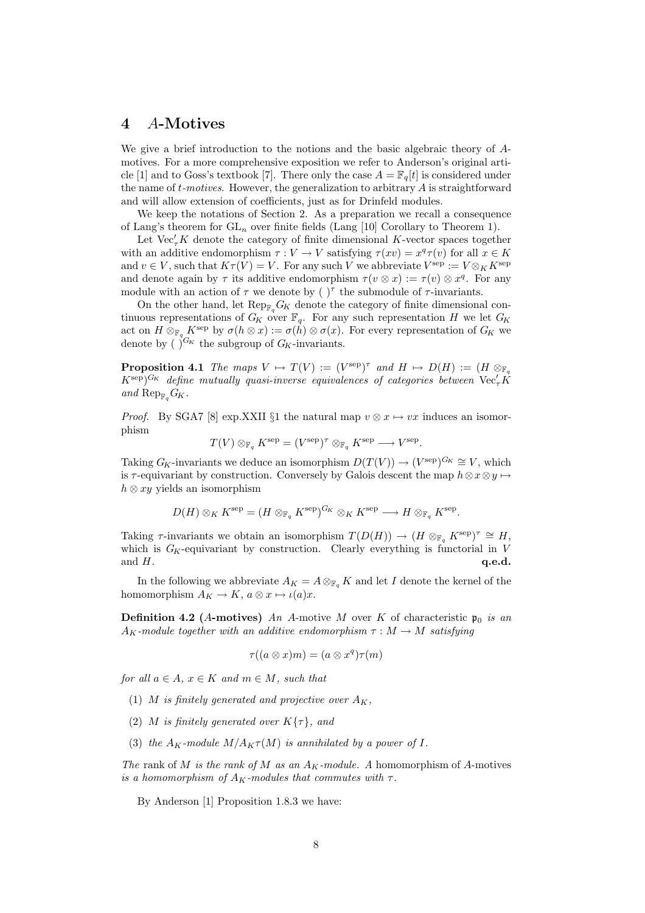# 4 A-Motives

We give a brief introduction to the notions and the basic algebraic theory of Amotives. For a more comprehensive exposition we refer to Anderson's original article [1] and to Goss's textbook [7]. There only the case  $A = \mathbb{F}_q[t]$  is considered under the name of  $t$ -motives. However, the generalization to arbitrary  $A$  is straightforward and will allow extension of coefficients, just as for Drinfeld modules.

We keep the notations of Section 2. As a preparation we recall a consequence of Lang's theorem for  $GL_n$  over finite fields (Lang [10] Corollary to Theorem 1).

Let  $\text{Vec}_{\tau}^{\prime} K$  denote the category of finite dimensional K-vector spaces together with an additive endomorphism  $\tau : V \to V$  satisfying  $\tau(xv) = x^q \tau(v)$  for all  $x \in K$ and  $v \in V$ , such that  $K\tau(V) = V$ . For any such V we abbreviate  $V^{\text{sep}} := V \otimes_K K^{\text{sep}}$ and denote again by  $\tau$  its additive endomorphism  $\tau(v \otimes x) := \tau(v) \otimes x^q$ . For any module with an action of  $\tau$  we denote by  $(\ )^{\tau}$  the submodule of  $\tau$ -invariants.

On the other hand, let  $\text{Rep}_{\mathbb{F}_q}G_K$  denote the category of finite dimensional continuous representations of  $G_K$  over  $\mathbb{F}_q$ . For any such representation H we let  $G_K$ act on  $H \otimes_{\mathbb{F}_q} K^{\text{sep}}$  by  $\sigma(h \otimes x) := \sigma(h) \otimes \sigma(x)$ . For every representation of  $G_K$  we denote by  $\left(\right)^{G_K}$  the subgroup of  $G_K$ -invariants.

**Proposition 4.1** The maps  $V \mapsto T(V) := (V^{\text{sep}})^{\tau}$  and  $H \mapsto D(H) := (H \otimes_{\mathbb{F}_q} H)$  $(K^{\rm sep})^{G_K}$  define mutually quasi-inverse equivalences of categories between  ${\rm Vec}_\tau K^0$ and  $\operatorname{Rep}_{\mathbb{F}_q}G_K$ .

*Proof.* By SGA7 [8] exp.XXII §1 the natural map  $v \otimes x \mapsto vx$  induces an isomorphism

$$
T(V) \otimes_{\mathbb{F}_q} K^{\text{sep}} = (V^{\text{sep}})^{\tau} \otimes_{\mathbb{F}_q} K^{\text{sep}} \longrightarrow V^{\text{sep}}.
$$

Taking  $G_K$ -invariants we deduce an isomorphism  $D(T(V)) \to (V^{\text{sep}})^{G_K} \cong V$ , which is  $\tau$ -equivariant by construction. Conversely by Galois descent the map  $h \otimes x \otimes y \mapsto$  $h \otimes xy$  yields an isomorphism

$$
D(H) \otimes_K K^{\rm sep} = (H \otimes_{\mathbb{F}_q} K^{\rm sep})^{G_K} \otimes_K K^{\rm sep} \longrightarrow H \otimes_{\mathbb{F}_q} K^{\rm sep}.
$$

Taking  $\tau$ -invariants we obtain an isomorphism  $T(D(H)) \to (H \otimes_{\mathbb{F}_q} K^{\text{sep}})^{\tau} \cong H$ , which is  $G_K$ -equivariant by construction. Clearly everything is functorial in V and  $H$ .  $\bold{q.e.d.}$ 

In the following we abbreviate  $A_K = A \otimes_{\mathbb{F}_q} K$  and let I denote the kernel of the homomorphism  $A_K \to K$ ,  $a \otimes x \mapsto \iota(a)x$ .

**Definition 4.2** (A-motives) An A-motive M over K of characteristic  $\mathfrak{p}_0$  is an  $A_K$ -module together with an additive endomorphism  $\tau : M \to M$  satisfying

$$
\tau((a\otimes x)m)=(a\otimes x^q)\tau(m)
$$

for all  $a \in A$ ,  $x \in K$  and  $m \in M$ , such that

- (1) M is finitely generated and projective over  $A_K$ ,
- (2) M is finitely generated over  $K\{\tau\}$ , and
- (3) the  $A_K$ -module  $M/A_K \tau(M)$  is annihilated by a power of I.

The rank of M is the rank of M as an  $A_K$ -module. A homomorphism of A-motives is a homomorphism of  $A_K$ -modules that commutes with  $\tau$ .

By Anderson [1] Proposition 1.8.3 we have: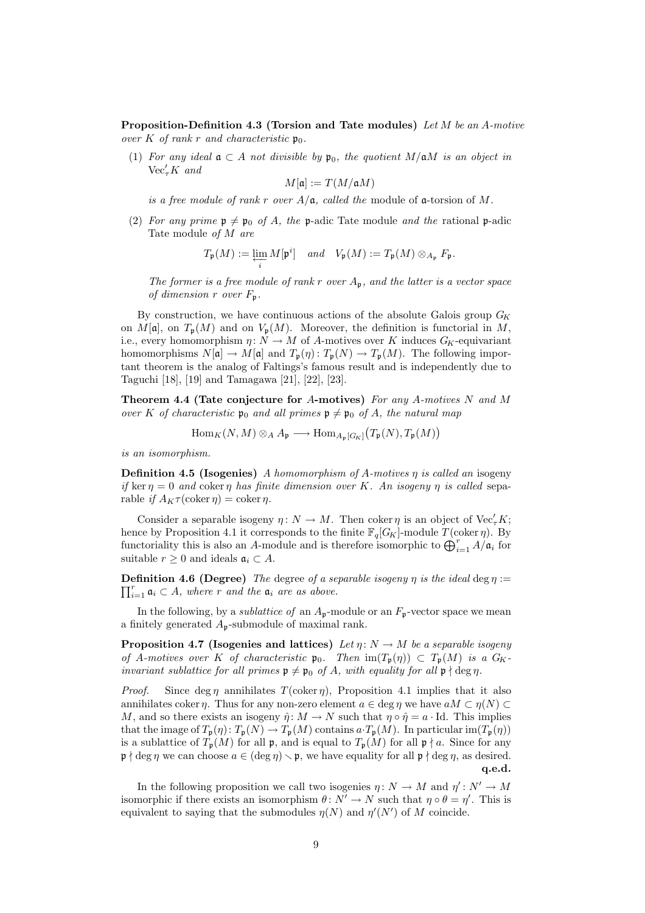Proposition-Definition 4.3 (Torsion and Tate modules) Let M be an A-motive over K of rank r and characteristic  $\mathfrak{p}_0$ .

(1) For any ideal  $\mathfrak{a} \subset A$  not divisible by  $\mathfrak{p}_0$ , the quotient  $M/\mathfrak{a}M$  is an object in  $\mathrm{Vec}_\tau K$  and

$$
M[\mathfrak{a}]:=T(M/\mathfrak{a}M)
$$

is a free module of rank r over  $A/\mathfrak{a}$ , called the module of  $\mathfrak{a}$ -torsion of M.

(2) For any prime  $p \neq p_0$  of A, the p-adic Tate module and the rational p-adic Tate module of M are

$$
T_{\mathfrak{p}}(M) := \varprojlim_{i} M[\mathfrak{p}^{i}] \quad and \quad V_{\mathfrak{p}}(M) := T_{\mathfrak{p}}(M) \otimes_{A_{\mathfrak{p}}} F_{\mathfrak{p}}.
$$

The former is a free module of rank r over  $A_p$ , and the latter is a vector space of dimension r over  $F_{\mathfrak{p}}$ .

By construction, we have continuous actions of the absolute Galois group  $G_K$ on  $M[\mathfrak{a}]$ , on  $T_{\mathfrak{p}}(M)$  and on  $V_{\mathfrak{p}}(M)$ . Moreover, the definition is functorial in M, i.e., every homomorphism  $\eta: N \to M$  of A-motives over K induces  $G_K$ -equivariant homomorphisms  $N[\mathfrak{a}] \to M[\mathfrak{a}]$  and  $T_{\mathfrak{p}}(\eta) : T_{\mathfrak{p}}(N) \to T_{\mathfrak{p}}(M)$ . The following important theorem is the analog of Faltings's famous result and is independently due to Taguchi [18], [19] and Tamagawa [21], [22], [23].

Theorem 4.4 (Tate conjecture for A-motives) For any A-motives  $N$  and  $M$ over K of characteristic  $\mathfrak{p}_0$  and all primes  $\mathfrak{p} \neq \mathfrak{p}_0$  of A, the natural map

 $\text{Hom}_K(N,M) \otimes_A A_{\mathfrak{p}} \longrightarrow \text{Hom}_{A_{\mathfrak{p}}[G_K]}(T_{\mathfrak{p}}(N), T_{\mathfrak{p}}(M))$ 

is an isomorphism.

**Definition 4.5 (Isogenies)** A homomorphism of A-motives  $\eta$  is called an isogeny if ker  $\eta = 0$  and coker  $\eta$  has finite dimension over K. An isogeny  $\eta$  is called separable if  $A_K \tau(\text{coker } \eta) = \text{coker } \eta$ .

Consider a separable isogeny  $\eta: N \to M$ . Then coker  $\eta$  is an object of Vec<sup> $\ell_{\tau} K$ </sup>; hence by Proposition 4.1 it corresponds to the finite  $\mathbb{F}_q[G_K]$ -module  $T(\text{coker } \eta)$ . By functoriality this is also an A-module and is therefore isomorphic to  $\bigoplus_{i=1}^r A/\mathfrak{a}_i$  for suitable  $r \geq 0$  and ideals  $\mathfrak{a}_i \subset A$ .

 $\prod_{i=1}^r \mathfrak{a}_i \subset A$ , where r and the  $\mathfrak{a}_i$  are as above. **Definition 4.6 (Degree)** The degree of a separable isogeny  $\eta$  is the ideal deg  $\eta$  :=

In the following, by a *sublattice of* an  $A_p$ -module or an  $F_p$ -vector space we mean a finitely generated  $A_p$ -submodule of maximal rank.

**Proposition 4.7 (Isogenies and lattices)** Let  $\eta: N \to M$  be a separable isogeny of A-motives over K of characteristic  $\mathfrak{p}_0$ . Then  $\text{im}(T_{\mathfrak{p}}(\eta)) \subset T_{\mathfrak{p}}(M)$  is a  $G_K$ invariant sublattice for all primes  $\mathfrak{p} \neq \mathfrak{p}_0$  of A, with equality for all  $\mathfrak{p} \nmid \deg \eta$ .

*Proof.* Since deg  $\eta$  annihilates  $T(\text{coker } \eta)$ , Proposition 4.1 implies that it also annihilates coker  $\eta$ . Thus for any non-zero element  $a \in \deg \eta$  we have  $aM \subset \eta(N) \subset$ M, and so there exists an isogeny  $\hat{\eta} : M \to N$  such that  $\eta \circ \hat{\eta} = a \cdot \text{Id}$ . This implies that the image of  $T_{\mathfrak{p}}(\eta): T_{\mathfrak{p}}(N) \to T_{\mathfrak{p}}(M)$  contains  $a \cdot T_{\mathfrak{p}}(M)$ . In particular im $(T_{\mathfrak{p}}(\eta))$ is a sublattice of  $T_p(M)$  for all p, and is equal to  $T_p(M)$  for all  $p \nmid a$ . Since for any  $\mathfrak{p} \nmid \deg \eta$  we can choose  $a \in (\deg \eta) \setminus \mathfrak{p}$ , we have equality for all  $\mathfrak{p} \nmid \deg \eta$ , as desired. q.e.d.

In the following proposition we call two isogenies  $\eta: N \to M$  and  $\eta': N' \to M$ isomorphic if there exists an isomorphism  $\theta \colon N' \to N$  such that  $\eta \circ \theta = \eta'$ . This is equivalent to saying that the submodules  $\eta(N)$  and  $\eta'(N')$  of M coincide.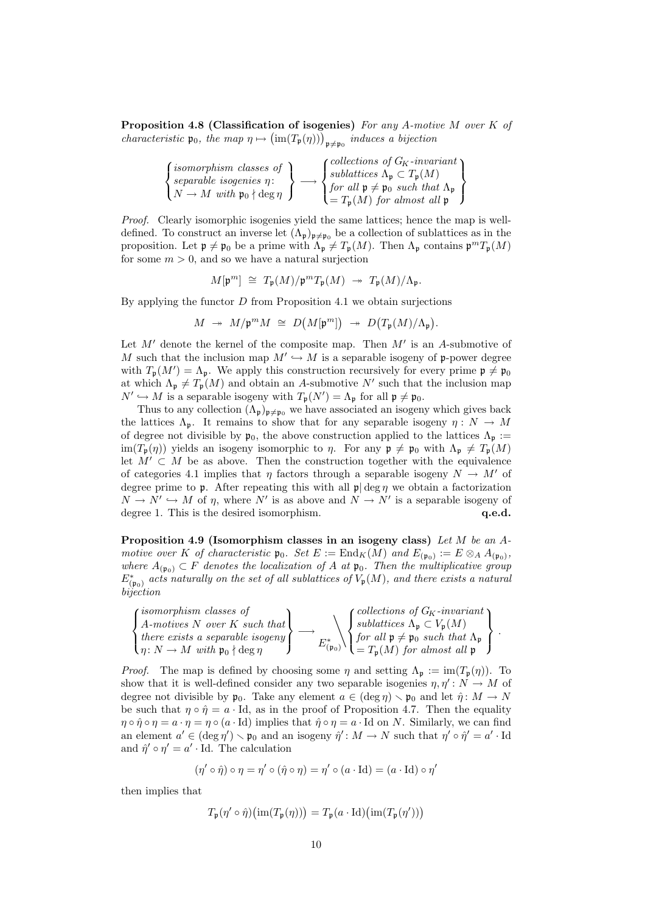Proposition 4.8 (Classification of isogenies) For any A-motive M over K of characteristic  $\mathfrak{p}_0$ , the map  $\eta \mapsto (\text{im}(T_{\mathfrak{p}}(\eta)))_{\mathfrak{p}\neq\mathfrak{p}_0}$  induces a bijection

| ( <i>isomorphism classes of</i><br>$\zeta$ separable isogenies $\eta$ :<br>$\big\{ N \to M \text{ with } \mathfrak{p}_0 \nmid \deg \eta \big\}$ | $\int$ collections of $G_K$ -invariant $\lambda$<br>$\int sublattices \Lambda_{\mathfrak{p}} \subset T_{\mathfrak{p}}(M)$<br>$\int$ for all $\mathfrak{p} \neq \mathfrak{p}_0$ such that $\Lambda_{\mathfrak{p}}$<br>$\mathbf{I} = T_{\mathfrak{p}}(M)$ for almost all $\mathfrak{p}$ |
|-------------------------------------------------------------------------------------------------------------------------------------------------|---------------------------------------------------------------------------------------------------------------------------------------------------------------------------------------------------------------------------------------------------------------------------------------|
|-------------------------------------------------------------------------------------------------------------------------------------------------|---------------------------------------------------------------------------------------------------------------------------------------------------------------------------------------------------------------------------------------------------------------------------------------|

Proof. Clearly isomorphic isogenies yield the same lattices; hence the map is welldefined. To construct an inverse let  $(\Lambda_{\mathfrak{p}})_{\mathfrak{p}\neq\mathfrak{p}_0}$  be a collection of sublattices as in the proposition. Let  $\mathfrak{p} \neq \mathfrak{p}_0$  be a prime with  $\Lambda_{\mathfrak{p}} \neq T_{\mathfrak{p}}(M)$ . Then  $\Lambda_{\mathfrak{p}}$  contains  $\mathfrak{p}^m T_{\mathfrak{p}}(M)$ for some  $m > 0$ , and so we have a natural surjection

$$
M[\mathfrak{p}^m] \cong T_{\mathfrak{p}}(M)/\mathfrak{p}^m T_{\mathfrak{p}}(M) \rightarrow T_{\mathfrak{p}}(M)/\Lambda_{\mathfrak{p}}.
$$

By applying the functor  $D$  from Proposition 4.1 we obtain surjections

$$
M \ \twoheadrightarrow \ M/\mathfrak{p}^m M \ \cong \ D\big(M[\mathfrak{p}^m]\big) \ \twoheadrightarrow \ D\big(T_{\mathfrak{p}}(M)/\Lambda_{\mathfrak{p}}\big).
$$

Let  $M'$  denote the kernel of the composite map. Then  $M'$  is an A-submotive of M such that the inclusion map  $M' \hookrightarrow M$  is a separable isogeny of p-power degree with  $T_{\mathfrak{p}}(M') = \Lambda_{\mathfrak{p}}$ . We apply this construction recursively for every prime  $\mathfrak{p} \neq \mathfrak{p}_0$ at which  $\Lambda_{\mathfrak{p}} \neq T_{\mathfrak{p}}(M)$  and obtain an A-submotive N' such that the inclusion map  $N' \hookrightarrow M$  is a separable isogeny with  $T_{\mathfrak{p}}(N') = \Lambda_{\mathfrak{p}}$  for all  $\mathfrak{p} \neq \mathfrak{p}_0$ .

Thus to any collection  $(\Lambda_{\mathfrak{p}})_{\mathfrak{p}\neq\mathfrak{p}_0}$  we have associated an isogeny which gives back the lattices  $\Lambda_p$ . It remains to show that for any separable isogeny  $\eta : N \to M$ of degree not divisible by  $\mathfrak{p}_0$ , the above construction applied to the lattices  $\Lambda_{\mathfrak{p}} :=$  $\text{im}(T_{\mathfrak{p}}(\eta))$  yields an isogeny isomorphic to  $\eta$ . For any  $\mathfrak{p} \neq \mathfrak{p}_0$  with  $\Lambda_{\mathfrak{p}} \neq T_{\mathfrak{p}}(M)$ let  $M' \subset M$  be as above. Then the construction together with the equivalence of categories 4.1 implies that  $\eta$  factors through a separable isogeny  $N \to M'$  of degree prime to **p**. After repeating this with all  $\mathfrak{p} \deg \eta$  we obtain a factorization  $N \to N' \hookrightarrow M$  of  $\eta$ , where N' is as above and  $N \to N'$  is a separable isogeny of degree 1. This is the desired isomorphism.  $q.e.d.$ 

Proposition 4.9 (Isomorphism classes in an isogeny class) Let M be an Amotive over K of characteristic  $\mathfrak{p}_0$ . Set  $E := \text{End}_K(M)$  and  $E_{(\mathfrak{p}_0)} := E \otimes_A A_{(\mathfrak{p}_0)}$ , where  $A_{(p_0)} \subset F$  denotes the localization of A at  $p_0$ . Then the multiplicative group  $E^*_{(\mathfrak{p}_0)}$  acts naturally on the set of all sublattices of  $V_{\mathfrak{p}}(M)$ , and there exists a natural bijection



*Proof.* The map is defined by choosing some  $\eta$  and setting  $\Lambda_p := \text{im}(T_p(\eta))$ . To show that it is well-defined consider any two separable isogenies  $\eta, \eta' : N \to M$  of degree not divisible by  $\mathfrak{p}_0$ . Take any element  $a \in (\deg \eta) \setminus \mathfrak{p}_0$  and let  $\hat{\eta} : M \to N$ be such that  $\eta \circ \hat{\eta} = a \cdot \text{Id}$ , as in the proof of Proposition 4.7. Then the equality  $\eta \circ \hat{\eta} \circ \eta = a \cdot \eta = \eta \circ (a \cdot \text{Id})$  implies that  $\hat{\eta} \circ \eta = a \cdot \text{Id}$  on N. Similarly, we can find an element  $a' \in (\text{deg }\eta') \setminus \mathfrak{p}_0$  and an isogeny  $\hat{\eta}' : M \to N$  such that  $\eta' \circ \hat{\eta}' = a' \cdot \text{Id}$ and  $\hat{\eta}' \circ \eta' = a' \cdot \text{Id}$ . The calculation

$$
(\eta' \circ \hat{\eta}) \circ \eta = \eta' \circ (\hat{\eta} \circ \eta) = \eta' \circ (a \cdot \text{Id}) = (a \cdot \text{Id}) \circ \eta'
$$

then implies that

$$
T_{\mathfrak{p}}(\eta' \circ \hat{\eta})\big(\mathrm{im}(T_{\mathfrak{p}}(\eta))\big) = T_{\mathfrak{p}}(a \cdot \mathrm{Id})\big(\mathrm{im}(T_{\mathfrak{p}}(\eta'))\big)
$$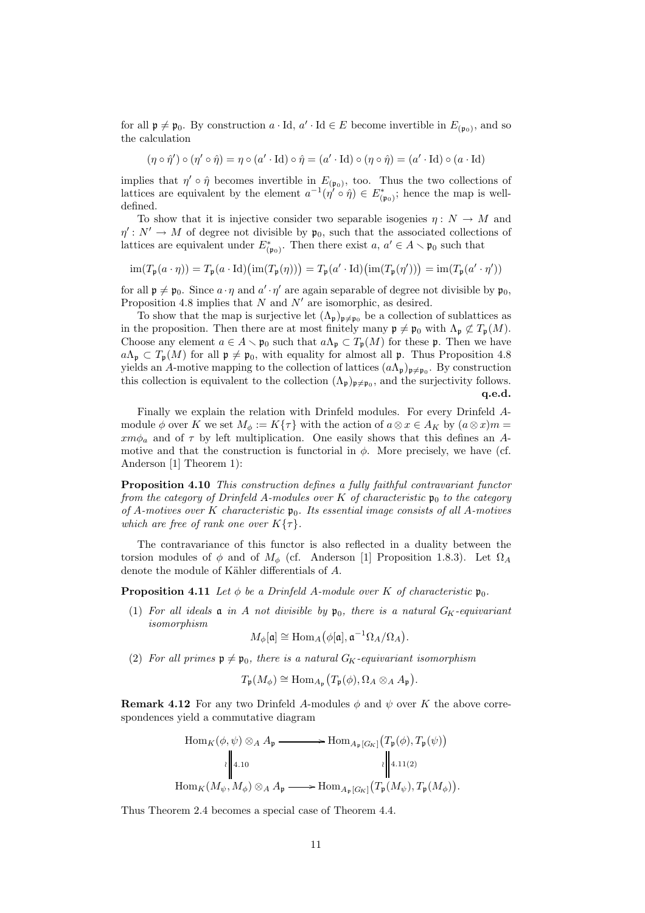for all  $\mathfrak{p} \neq \mathfrak{p}_0$ . By construction  $a \cdot Id$ ,  $a' \cdot Id \in E$  become invertible in  $E_{(\mathfrak{p}_0)}$ , and so the calculation

$$
(\eta \circ \hat{\eta}') \circ (\eta' \circ \hat{\eta}) = \eta \circ (a' \cdot \text{Id}) \circ \hat{\eta} = (a' \cdot \text{Id}) \circ (\eta \circ \hat{\eta}) = (a' \cdot \text{Id}) \circ (a \cdot \text{Id})
$$

implies that  $\eta' \circ \hat{\eta}$  becomes invertible in  $E_{(\mathfrak{p}_0)}$ , too. Thus the two collections of lattices are equivalent by the element  $a^{-1}(\eta' \circ \hat{\eta}) \in E^*_{(\mathfrak{p}_0)}$ ; hence the map is welldefined.

To show that it is injective consider two separable isogenies  $\eta: N \to M$  and  $\eta' : N' \to M$  of degree not divisible by  $\mathfrak{p}_0$ , such that the associated collections of lattices are equivalent under  $E^*_{(\mathfrak{p}_0)}$ . Then there exist  $a, a' \in A \setminus \mathfrak{p}_0$  such that

$$
\operatorname{im}(T_{\mathfrak{p}}(a\cdot\eta)) = T_{\mathfrak{p}}(a\cdot\operatorname{Id})\bigl(\operatorname{im}(T_{\mathfrak{p}}(\eta))\bigr) = T_{\mathfrak{p}}(a'\cdot\operatorname{Id})\bigl(\operatorname{im}(T_{\mathfrak{p}}(\eta'))\bigr) = \operatorname{im}(T_{\mathfrak{p}}(a'\cdot\eta'))
$$

for all  $\mathfrak{p} \neq \mathfrak{p}_0$ . Since  $a \cdot \eta$  and  $a' \cdot \eta'$  are again separable of degree not divisible by  $\mathfrak{p}_0$ , Proposition 4.8 implies that  $N$  and  $N'$  are isomorphic, as desired.

To show that the map is surjective let  $(\Lambda_{\mathfrak{p}})_{\mathfrak{p}\neq\mathfrak{p}_0}$  be a collection of sublattices as in the proposition. Then there are at most finitely many  $\mathfrak{p} \neq \mathfrak{p}_0$  with  $\Lambda_{\mathfrak{p}} \not\subset T_{\mathfrak{p}}(M)$ . Choose any element  $a \in A \setminus \mathfrak{p}_0$  such that  $a\Lambda_{\mathfrak{p}} \subset T_{\mathfrak{p}}(M)$  for these  $\mathfrak{p}$ . Then we have  $a\Lambda_{p} \subset T_{p}(M)$  for all  $p \neq p_{0}$ , with equality for almost all p. Thus Proposition 4.8 yields an A-motive mapping to the collection of lattices  $(a\Lambda_{\mathfrak{p}})_{\mathfrak{p}\neq\mathfrak{p}_0}$ . By construction this collection is equivalent to the collection  $(\Lambda_{\mathfrak{p}})_{\mathfrak{p}\neq\mathfrak{p}_0}$ , and the surjectivity follows. q.e.d.

Finally we explain the relation with Drinfeld modules. For every Drinfeld Amodule  $\phi$  over K we set  $M_{\phi} := K\{\tau\}$  with the action of  $a \otimes x \in A_K$  by  $(a \otimes x)m =$  $xm\phi_a$  and of  $\tau$  by left multiplication. One easily shows that this defines an Amotive and that the construction is functorial in  $\phi$ . More precisely, we have (cf. Anderson [1] Theorem 1):

Proposition 4.10 This construction defines a fully faithful contravariant functor from the category of Drinfeld A-modules over K of characteristic  $\mathfrak{p}_0$  to the category of A-motives over K characteristic  $\mathfrak{p}_0$ . Its essential image consists of all A-motives which are free of rank one over  $K\{\tau\}$ .

The contravariance of this functor is also reflected in a duality between the torsion modules of  $\phi$  and of  $M_{\phi}$  (cf. Anderson [1] Proposition 1.8.3). Let  $\Omega_A$ denote the module of Kähler differentials of A.

**Proposition 4.11** Let  $\phi$  be a Drinfeld A-module over K of characteristic  $\mathfrak{p}_0$ .

(1) For all ideals  $\mathfrak a$  in A not divisible by  $\mathfrak p_0$ , there is a natural  $G_K$ -equivariant isomorphism

$$
M_{\phi}[\mathfrak{a}] \cong \text{Hom}_{A}(\phi[\mathfrak{a}], \mathfrak{a}^{-1}\Omega_{A}/\Omega_{A}).
$$

(2) For all primes  $p \neq p_0$ , there is a natural  $G_K$ -equivariant isomorphism

$$
T_{\mathfrak{p}}(M_{\phi}) \cong \text{Hom}_{A_{\mathfrak{p}}}\big(T_{\mathfrak{p}}(\phi), \Omega_A \otimes_A A_{\mathfrak{p}}\big).
$$

**Remark 4.12** For any two Drinfeld A-modules  $\phi$  and  $\psi$  over K the above correspondences yield a commutative diagram

$$
\operatorname{Hom}_{K}(\phi, \psi) \otimes_{A} A_{\mathfrak{p}} \longrightarrow \operatorname{Hom}_{A_{\mathfrak{p}}[G_{K}]}(T_{\mathfrak{p}}(\phi), T_{\mathfrak{p}}(\psi))
$$
\n
$$
\cdot \parallel_{4.10} \qquad \qquad \cdot \parallel_{4.11(2)}
$$
\n
$$
\operatorname{Hom}_{K}(M_{\psi}, M_{\phi}) \otimes_{A} A_{\mathfrak{p}} \longrightarrow \operatorname{Hom}_{A_{\mathfrak{p}}[G_{K}]}(T_{\mathfrak{p}}(M_{\psi}), T_{\mathfrak{p}}(M_{\phi})).
$$

Thus Theorem 2.4 becomes a special case of Theorem 4.4.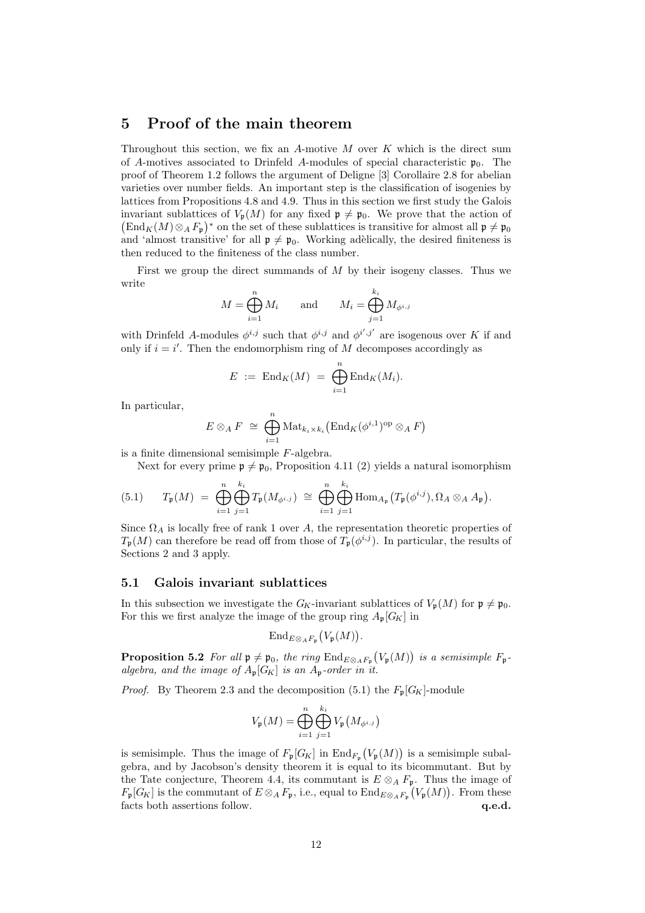# 5 Proof of the main theorem

Throughout this section, we fix an A-motive  $M$  over  $K$  which is the direct sum of A-motives associated to Drinfeld A-modules of special characteristic  $\mathfrak{p}_0$ . The proof of Theorem 1.2 follows the argument of Deligne [3] Corollaire 2.8 for abelian varieties over number fields. An important step is the classification of isogenies by lattices from Propositions 4.8 and 4.9. Thus in this section we first study the Galois invariant sublattices of  $V_{\mathfrak{p}}(M)$  for any fixed  $\mathfrak{p} \neq \mathfrak{p}_0$ . We prove that the action of  $\left( \text{End}_K(M) \otimes_A F_{\mathfrak{p}} \right)^*$  on the set of these sublattices is transitive for almost all  $\mathfrak{p} \neq \mathfrak{p}_0$ and 'almost transitive' for all  $\mathfrak{p} \neq \mathfrak{p}_0$ . Working adèlically, the desired finiteness is then reduced to the finiteness of the class number.

First we group the direct summands of  $M$  by their isogeny classes. Thus we write

$$
M = \bigoplus_{i=1}^{n} M_i \quad \text{and} \quad M_i = \bigoplus_{j=1}^{k_i} M_{\phi^{i,j}}
$$

with Drinfeld A-modules  $\phi^{i,j}$  such that  $\phi^{i,j}$  and  $\phi^{i',j'}$  are isogenous over K if and only if  $i = i'$ . Then the endomorphism ring of M decomposes accordingly as

$$
E := \operatorname{End}_K(M) = \bigoplus_{i=1}^n \operatorname{End}_K(M_i).
$$

In particular,

$$
E \otimes_A F \cong \bigoplus_{i=1}^n \text{Mat}_{k_i \times k_i}(\text{End}_K(\phi^{i,1})^{\text{op}} \otimes_A F)
$$

is a finite dimensional semisimple F-algebra.

Next for every prime  $\mathfrak{p} \neq \mathfrak{p}_0$ , Proposition 4.11 (2) yields a natural isomorphism

(5.1) 
$$
T_{\mathfrak{p}}(M) = \bigoplus_{i=1}^{n} \bigoplus_{j=1}^{k_i} T_{\mathfrak{p}}(M_{\phi^{i,j}}) \cong \bigoplus_{i=1}^{n} \bigoplus_{j=1}^{k_i} \text{Hom}_{A_{\mathfrak{p}}}(T_{\mathfrak{p}}(\phi^{i,j}), \Omega_A \otimes_A A_{\mathfrak{p}}).
$$

Since  $\Omega_A$  is locally free of rank 1 over A, the representation theoretic properties of  $T_{\mathfrak{p}}(M)$  can therefore be read off from those of  $T_{\mathfrak{p}}(\phi^{i,j})$ . In particular, the results of Sections 2 and 3 apply.

#### 5.1 Galois invariant sublattices

In this subsection we investigate the  $G_K$ -invariant sublattices of  $V_p(M)$  for  $p \neq p_0$ . For this we first analyze the image of the group ring  $A_{\mathfrak{p}}[G_K]$  in

$$
\mathrm{End}_{E\otimes_A F_{\mathfrak{p}}}\big(V_{\mathfrak{p}}(M)\big).
$$

**Proposition 5.2** For all  $\mathfrak{p} \neq \mathfrak{p}_0$ , the ring  $\text{End}_{E \otimes_A F_{\mathfrak{p}}}(V_{\mathfrak{p}}(M))$  is a semisimple  $F_{\mathfrak{p}}$ algebra, and the image of  $A_p[G_K]$  is an  $A_p$ -order in it.

*Proof.* By Theorem 2.3 and the decomposition (5.1) the  $F_p[G_K]$ -module

$$
V_{\mathfrak{p}}(M) = \bigoplus_{i=1}^{n} \bigoplus_{j=1}^{k_i} V_{\mathfrak{p}}(M_{\phi^{i,j}})
$$

is semisimple. Thus the image of  $F_{\mathfrak{p}}[G_K]$  in  $\text{End}_{F_{\mathfrak{p}}}(V_{\mathfrak{p}}(M))$  is a semisimple subalgebra, and by Jacobson's density theorem it is equal to its bicommutant. But by the Tate conjecture, Theorem 4.4, its commutant is  $E \otimes_A F_p$ . Thus the image of  $F_{\mathfrak{p}}[G_K]$  is the commutant of  $E \otimes_A F_{\mathfrak{p}}$ , i.e., equal to  $\text{End}_{E \otimes_A F_{\mathfrak{p}}}(V_{\mathfrak{p}}(M))$ . From these facts both assertions follow.  $q.e.d.$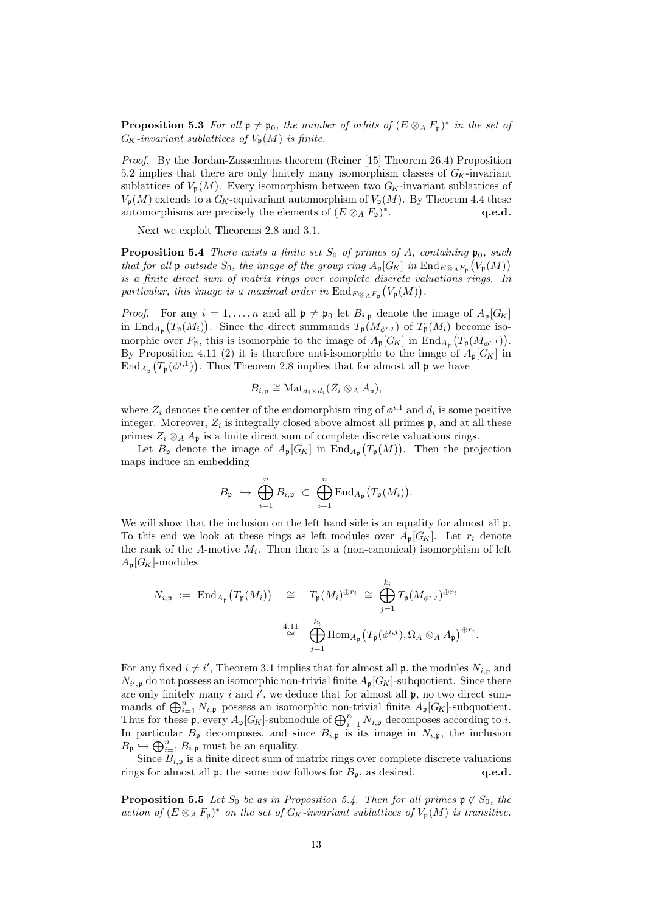**Proposition 5.3** For all  $\mathfrak{p} \neq \mathfrak{p}_0$ , the number of orbits of  $(E \otimes_A F_{\mathfrak{p}})^*$  in the set of  $G_K$ -invariant sublattices of  $V_p(M)$  is finite.

Proof. By the Jordan-Zassenhaus theorem (Reiner [15] Theorem 26.4) Proposition 5.2 implies that there are only finitely many isomorphism classes of  $G_K$ -invariant sublattices of  $V_{p}(M)$ . Every isomorphism between two  $G_K$ -invariant sublattices of  $V_{\mathfrak{p}}(M)$  extends to a  $G_K$ -equivariant automorphism of  $V_{\mathfrak{p}}(M)$ . By Theorem 4.4 these automorphisms are precisely the elements of  $(E \otimes_A F_{\mathfrak{p}})^*$ q.e.d.

Next we exploit Theorems 2.8 and 3.1.

**Proposition 5.4** There exists a finite set  $S_0$  of primes of A, containing  $\mathfrak{p}_0$ , such that for all p outside  $S_0$ , the image of the group ring  $A_{\mathfrak{p}}[G_K]$  in  $\text{End}_{E \otimes_A F_{\mathfrak{p}}}(V_{\mathfrak{p}}(M))$ is a finite direct sum of matrix rings over complete discrete valuations rings. In particular, this image is a maximal order in  $\text{End}_{E\otimes_A F_{\mathfrak{p}}}(V_{\mathfrak{p}}(M)).$ 

*Proof.* For any  $i = 1, ..., n$  and all  $\mathfrak{p} \neq \mathfrak{p}_0$  let  $B_{i,\mathfrak{p}}$  denote the image of  $A_{\mathfrak{p}}[G_K]$ in End<sub>Ap</sub>  $(T_p(M_i))$ . Since the direct summands  $T_p(M_{\phi^{i,j}})$  of  $T_p(M_i)$  become isomorphic over  $F_{\mathfrak{p}}$ , this is isomorphic to the image of  $A_{\mathfrak{p}}[G_K]$  in  $\text{End}_{A_{\mathfrak{p}}}(T_{\mathfrak{p}}(M_{\phi^{i,1}})).$ By Proposition 4.11 (2) it is therefore anti-isomorphic to the image of  $A_p[G_K]$  in  $\text{End}_{A_{\mathfrak{p}}}(T_{\mathfrak{p}}(\phi^{i,1}))$ . Thus Theorem 2.8 implies that for almost all  $\mathfrak{p}$  we have

$$
B_{i,\mathfrak{p}} \cong \text{Mat}_{d_i \times d_i}(Z_i \otimes_A A_{\mathfrak{p}}),
$$

where  $Z_i$  denotes the center of the endomorphism ring of  $\phi^{i,1}$  and  $d_i$  is some positive integer. Moreover,  $Z_i$  is integrally closed above almost all primes  $\mathfrak{p}$ , and at all these primes  $Z_i \otimes_A A_p$  is a finite direct sum of complete discrete valuations rings.

Let  $B_{\mathfrak{p}}$  denote the image of  $A_{\mathfrak{p}}[G_K]$  in  $\text{End}_{A_{\mathfrak{p}}}(T_{\mathfrak{p}}(M))$ . Then the projection maps induce an embedding

$$
B_{\mathfrak{p}} \ \hookrightarrow \ \bigoplus_{i=1}^n B_{i,\mathfrak{p}} \ \subset \ \bigoplus_{i=1}^n \mathrm{End}_{A_{\mathfrak{p}}}\bigl(T_{\mathfrak{p}}(M_i)\bigr).
$$

We will show that the inclusion on the left hand side is an equality for almost all  $\mathfrak{p}$ . To this end we look at these rings as left modules over  $A_{\mathfrak{p}}[G_K]$ . Let  $r_i$  denote the rank of the A-motive  $M_i$ . Then there is a (non-canonical) isomorphism of left  $A_{\mathfrak{p}}[G_K]$ -modules

$$
N_{i,\mathfrak{p}} := \operatorname{End}_{A_{\mathfrak{p}}}\left(T_{\mathfrak{p}}(M_{i})\right) \cong T_{\mathfrak{p}}(M_{i})^{\oplus r_{i}} \cong \bigoplus_{j=1}^{k_{i}} T_{\mathfrak{p}}(M_{\phi^{i,j}})^{\oplus r_{i}}
$$

$$
\cong \bigoplus_{j=1}^{4,11} \operatorname{Hom}_{A_{\mathfrak{p}}}\left(T_{\mathfrak{p}}(\phi^{i,j}), \Omega_{A} \otimes_{A} A_{\mathfrak{p}}\right)^{\oplus r_{i}}
$$

.

For any fixed  $i \neq i'$ , Theorem 3.1 implies that for almost all  $\mathfrak{p}$ , the modules  $N_{i,\mathfrak{p}}$  and  $N_{i',p}$  do not possess an isomorphic non-trivial finite  $A_p[G_K]$ -subquotient. Since there are only finitely many  $i$  and  $i'$ , we deduce that for almost all  $\mathfrak{p}$ , no two direct summands of  $\bigoplus_{i=1}^n N_{i,\mathfrak{p}}$  possess an isomorphic non-trivial finite  $A_{\mathfrak{p}}[G_K]$ -subquotient. Thus for these  $\mathfrak{p}$ , every  $A_{\mathfrak{p}}[G_K]$ -submodule of  $\bigoplus_{i=1}^n N_{i,\mathfrak{p}}$  decomposes according to i. In particular  $B_{\mathfrak{p}}$  decomposes, and since  $B_{i,\mathfrak{p}}$  is its image in  $N_{i,\mathfrak{p}}$ , the inclusion  $B_{\mathfrak{p}} \hookrightarrow \bigoplus_{i=1}^n B_{i,\mathfrak{p}}$  must be an equality.

Since  $B_{i,p}$  is a finite direct sum of matrix rings over complete discrete valuations rings for almost all  $\mathfrak{p}$ , the same now follows for  $B_{\mathfrak{p}}$ , as desired. **q.e.d.** 

**Proposition 5.5** Let  $S_0$  be as in Proposition 5.4. Then for all primes  $\mathfrak{p} \notin S_0$ , the action of  $(E \otimes_A F_{\mathfrak{p}})^*$  on the set of  $G_K$ -invariant sublattices of  $V_{\mathfrak{p}}(M)$  is transitive.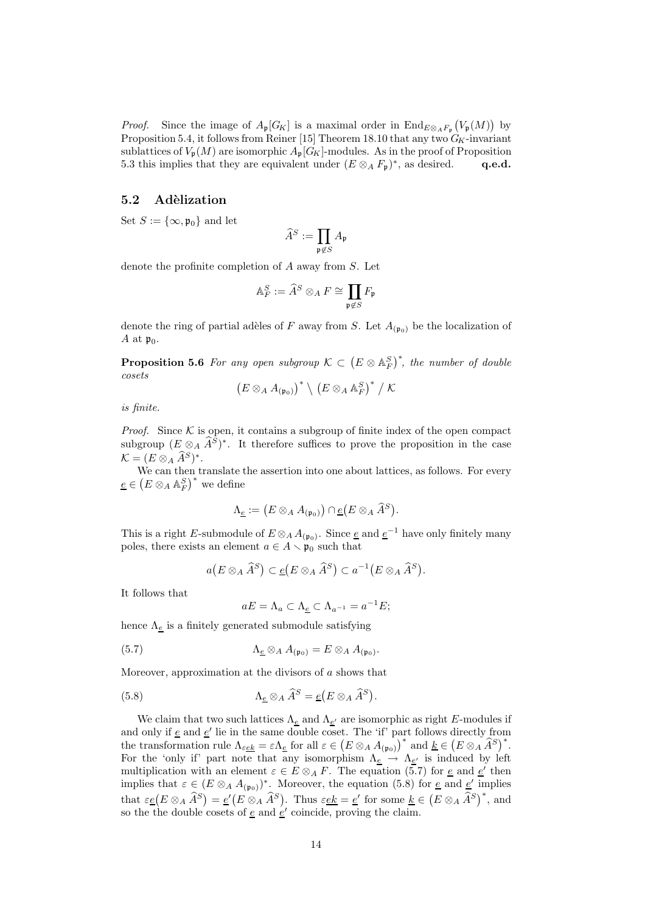*Proof.* Since the image of  $A_{\mathfrak{p}}[G_K]$  is a maximal order in  $\text{End}_{E\otimes_A F_{\mathfrak{p}}}(V_{\mathfrak{p}}(M))$  by Proposition 5.4, it follows from Reiner [15] Theorem 18.10 that any two  $G_K$ -invariant sublattices of  $V_p(M)$  are isomorphic  $A_p[G_K]$ -modules. As in the proof of Proposition 5.3 this implies that they are equivalent under  $(E \otimes_A F_{\mathfrak{p}})^*$ , as desired. q.e.d.

#### 5.2 Adèlization

Set  $S := {\infty, \mathfrak{p}_0}$  and let

$$
\widehat{A}^S := \prod_{\mathfrak{p} \not\in S} A_{\mathfrak{p}}
$$

denote the profinite completion of A away from S. Let

$$
\mathbb{A}_F^S:=\widehat{A}^S\otimes_A F\cong \prod_{\mathfrak{p}\not\in S}F_{\mathfrak{p}}
$$

denote the ring of partial adèles of F away from S. Let  $A_{(\mathfrak{p}_0)}$  be the localization of A at  $\mathfrak{p}_0$ .

**Proposition 5.6** For any open subgroup  $\mathcal{K} \subset (E \otimes \mathbb{A}_F^S)^*$ , the number of double cosets

$$
\big(E\otimes_A A_{(\mathfrak{p}_0)}\big)^*\setminus \big(E\otimes_A\mathbb{A}_F^S\big)^*\bigm/\mathcal{K}
$$

is finite.

*Proof.* Since  $K$  is open, it contains a subgroup of finite index of the open compact subgroup  $(E \otimes_A \tilde{A}^S)^*$ . It therefore suffices to prove the proposition in the case  $\mathcal{K} = (E \otimes_A \widehat{A}^S)^*$ .

We can then translate the assertion into one about lattices, as follows. For every  $\underline{e} \in (E \otimes_A \mathbb{A}_F^S)^*$  we define

$$
\Lambda_{\underline{e}}:=\big(E\otimes_A A_{(\mathfrak{p}_0)}\big)\cap \underline{e}\big(E\otimes_A\widehat{A}^S\big).
$$

This is a right E-submodule of  $E \otimes_A A_{(p_0)}$ . Since  $\underline{e}$  and  $\underline{e}^{-1}$  have only finitely many poles, there exists an element  $a \in A \setminus \mathfrak{p}_0$  such that

$$
a(E \otimes_A \widehat{A}^S) \subset \underline{e}(E \otimes_A \widehat{A}^S) \subset a^{-1}(E \otimes_A \widehat{A}^S).
$$

It follows that

$$
aE = \Lambda_a \subset \Lambda_{\underline{e}} \subset \Lambda_{a^{-1}} = a^{-1}E;
$$

hence  $\Lambda_{\underline{e}}$  is a finitely generated submodule satisfying

(5.7) 
$$
\Lambda_{\underline{e}} \otimes_A A_{(\mathfrak{p}_0)} = E \otimes_A A_{(\mathfrak{p}_0)}.
$$

Moreover, approximation at the divisors of  $\alpha$  shows that

(5.8) 
$$
\Lambda_{\underline{e}} \otimes_A \widehat{A}^S = \underline{e}(E \otimes_A \widehat{A}^S).
$$

We claim that two such lattices  $\Lambda_{\underline{e}}$  and  $\Lambda_{\underline{e}'}$  are isomorphic as right E-modules if and only if  $\underline{e}$  and  $\underline{e}'$  lie in the same double coset. The 'if' part follows directly from the transformation rule  $\Lambda_{\varepsilon \underline{e k}} = \varepsilon \Lambda_{\underline{e}}$  for all  $\varepsilon \in (E \otimes_A A_{(\mathfrak{p}_0)})^*$  and  $\underline{k} \in (E \otimes_A \widehat{A}^S)^*$ . For the 'only if' part note that any isomorphism  $\Lambda_{\underline{e}} \to \Lambda_{\underline{e'}}$  is induced by left multiplication with an element  $\varepsilon \in E \otimes_A F$ . The equation (5.7) for <u>e</u> and <u>e'</u> then implies that  $\varepsilon \in (E \otimes_A A_{(\mathfrak{p}_0)})^*$ . Moreover, the equation (5.8) for <u>e</u> and <u>e'</u> implies that  $\varepsilon \underline{e}(E \otimes_A \widehat{A}^S) = \underline{e}'(E \otimes_A \widehat{A}^S)$ . Thus  $\varepsilon \underline{ek} = \underline{e}'$  for some  $\underline{k} \in (E \otimes_A \widehat{A}^S)^*$ , and so the the double cosets of  $\underline{e}$  and  $\underline{e}'$  coincide, proving the claim.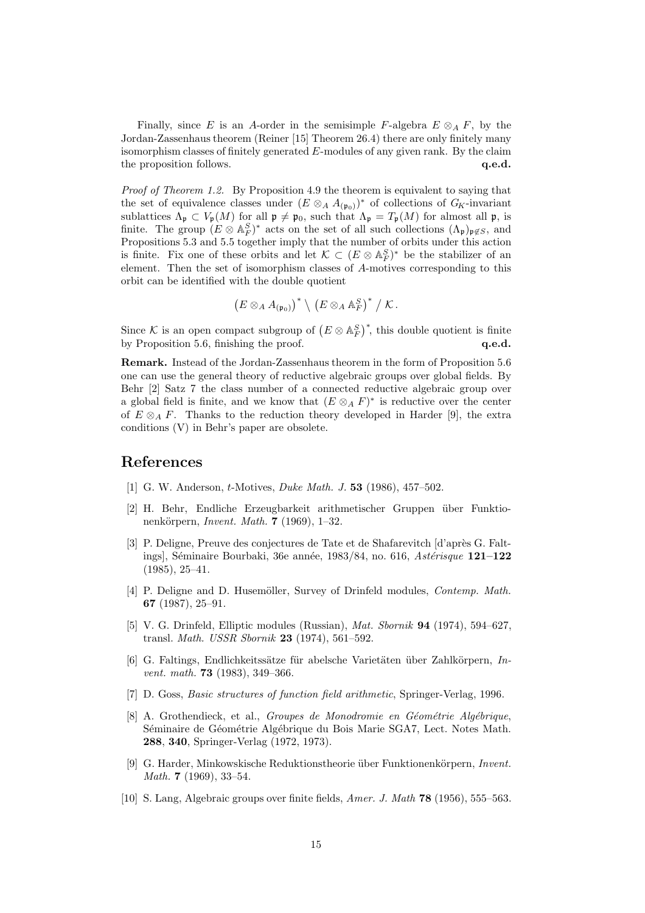Finally, since E is an A-order in the semisimple F-algebra  $E \otimes_A F$ , by the Jordan-Zassenhaus theorem (Reiner [15] Theorem 26.4) there are only finitely many isomorphism classes of finitely generated  $E$ -modules of any given rank. By the claim the proposition follows.  $q.e.d.$ 

Proof of Theorem 1.2. By Proposition 4.9 the theorem is equivalent to saying that the set of equivalence classes under  $(E \otimes_A A_{(\mathfrak{p}_0)})^*$  of collections of  $G_K$ -invariant sublattices  $\Lambda_{\mathfrak{p}} \subset V_{\mathfrak{p}}(M)$  for all  $\mathfrak{p} \neq \mathfrak{p}_0$ , such that  $\Lambda_{\mathfrak{p}} = T_{\mathfrak{p}}(M)$  for almost all  $\mathfrak{p}$ , is finite. The group  $(E \otimes A_F^S)^*$  acts on the set of all such collections  $(\Lambda_{\mathfrak{p}})_{\mathfrak{p} \not\in S}$ , and Propositions 5.3 and 5.5 together imply that the number of orbits under this action is finite. Fix one of these orbits and let  $\mathcal{K} \subset (E \otimes \mathbb{A}_F^S)^*$  be the stabilizer of an element. Then the set of isomorphism classes of A-motives corresponding to this orbit can be identified with the double quotient

$$
\left(E\otimes_A A_{(\mathfrak{p}_0)}\right)^*\setminus \left(E\otimes_A\mathbb{A}_F^S\right)^*/\mathcal{K}.
$$

Since K is an open compact subgroup of  $(E \otimes \mathbb{A}_F^S)^*$ , this double quotient is finite by Proposition 5.6, finishing the proof.  $q.e.d.$ 

Remark. Instead of the Jordan-Zassenhaus theorem in the form of Proposition 5.6 one can use the general theory of reductive algebraic groups over global fields. By Behr [2] Satz 7 the class number of a connected reductive algebraic group over a global field is finite, and we know that  $(E \otimes_A F)^*$  is reductive over the center of  $E \otimes_A F$ . Thanks to the reduction theory developed in Harder [9], the extra conditions (V) in Behr's paper are obsolete.

### References

- [1] G. W. Anderson, *t*-Motives, *Duke Math. J.* **53** (1986), 457–502.
- [2] H. Behr, Endliche Erzeugbarkeit arithmetischer Gruppen ¨uber Funktionenkörpern, Invent. Math.  $7$  (1969), 1–32.
- [3] P. Deligne, Preuve des conjectures de Tate et de Shafarevitch [d'après G. Faltings], Séminaire Bourbaki, 36e année, 1983/84, no. 616, Astérisque  $121-122$ (1985), 25–41.
- [4] P. Deligne and D. Husemöller, Survey of Drinfeld modules, Contemp. Math. 67 (1987), 25–91.
- [5] V. G. Drinfeld, Elliptic modules (Russian), Mat. Sbornik 94 (1974), 594–627, transl. Math. USSR Sbornik 23 (1974), 561–592.
- [6] G. Faltings, Endlichkeitssätze für abelsche Varietäten über Zahlkörpern,  $In$ vent. math. **73** (1983), 349-366.
- [7] D. Goss, Basic structures of function field arithmetic, Springer-Verlag, 1996.
- [8] A. Grothendieck, et al., Groupes de Monodromie en Géométrie Algébrique, Séminaire de Géométrie Algébrique du Bois Marie SGA7, Lect. Notes Math. 288, 340, Springer-Verlag (1972, 1973).
- [9] G. Harder, Minkowskische Reduktionstheorie über Funktionenkörpern, Invent. Math. 7 (1969), 33–54.
- [10] S. Lang, Algebraic groups over finite fields, Amer. J. Math 78 (1956), 555–563.